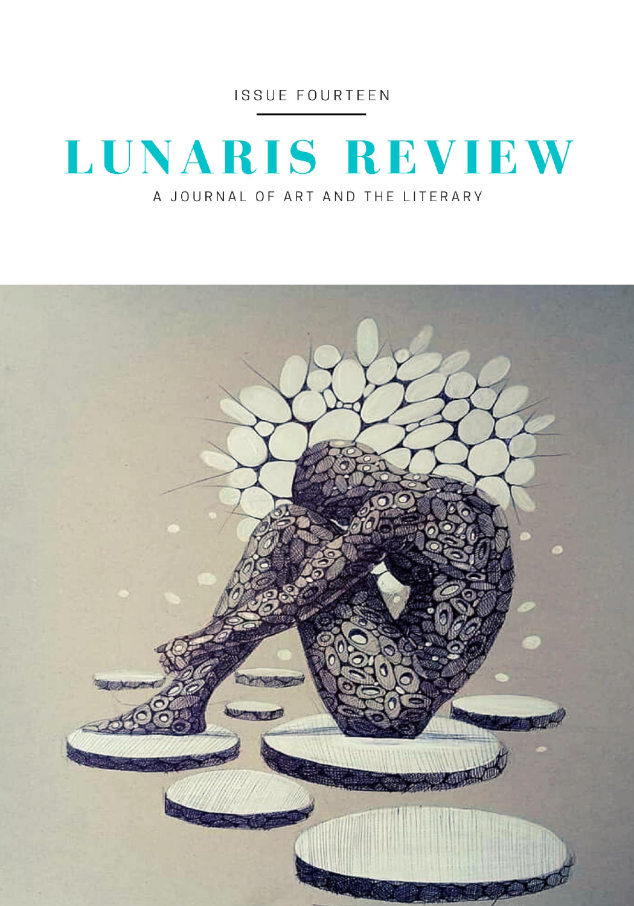**ISSUE FOURTEEN** 

# LUNARIS REVIEW A JOURNAL OF ART AND THE LITERARY

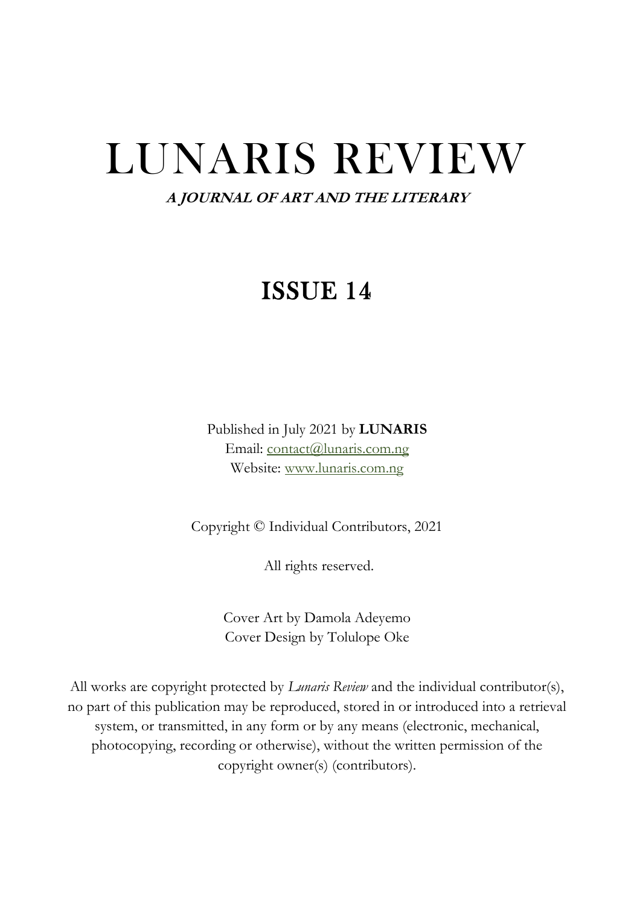# LUNARIS REVIEW **A JOURNAL OF ART AND THE LITERARY**

# ISSUE 14

Published in July 2021 by **LUNARIS** Email: [contact@lunaris.com.ng](mailto:contact@lunaris.com.ng) Website: [www.lunaris.com.ng](http://www.lunaris.com.ng/)

Copyright © Individual Contributors, 2021

All rights reserved.

Cover Art by Damola Adeyemo Cover Design by Tolulope Oke

All works are copyright protected by *Lunaris Review* and the individual contributor(s), no part of this publication may be reproduced, stored in or introduced into a retrieval system, or transmitted, in any form or by any means (electronic, mechanical, photocopying, recording or otherwise), without the written permission of the copyright owner(s) (contributors).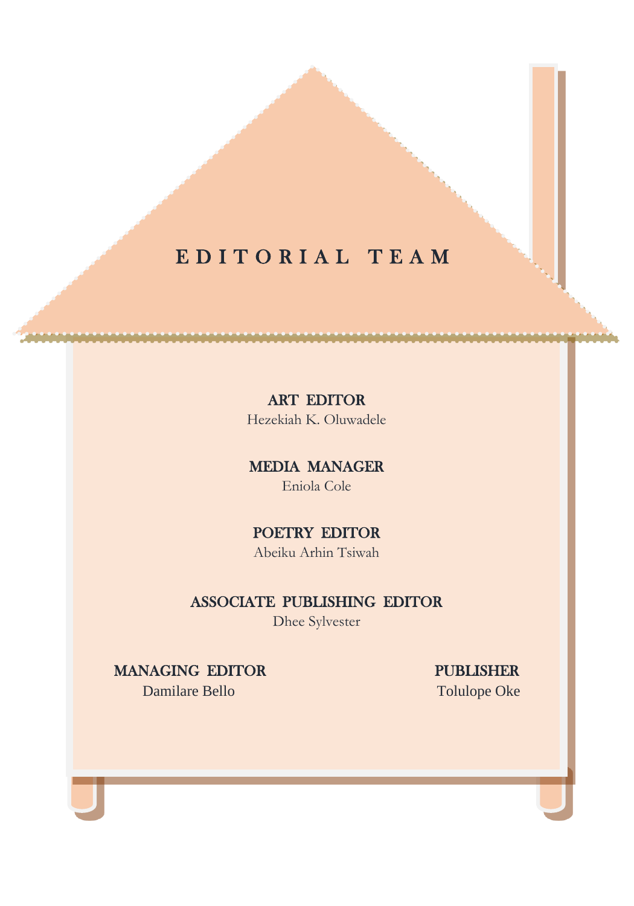# EDITORIAL TEAM

ART EDITOR Hezekiah K. Oluwadele

MEDIA MANAGER Eniola Cole

POETRY EDITOR Abeiku Arhin Tsiwah

ASSOCIATE PUBLISHING EDITOR

Dhee Sylvester

MANAGING EDITOR PUBLISHER Damilare Bello Tolulope Oke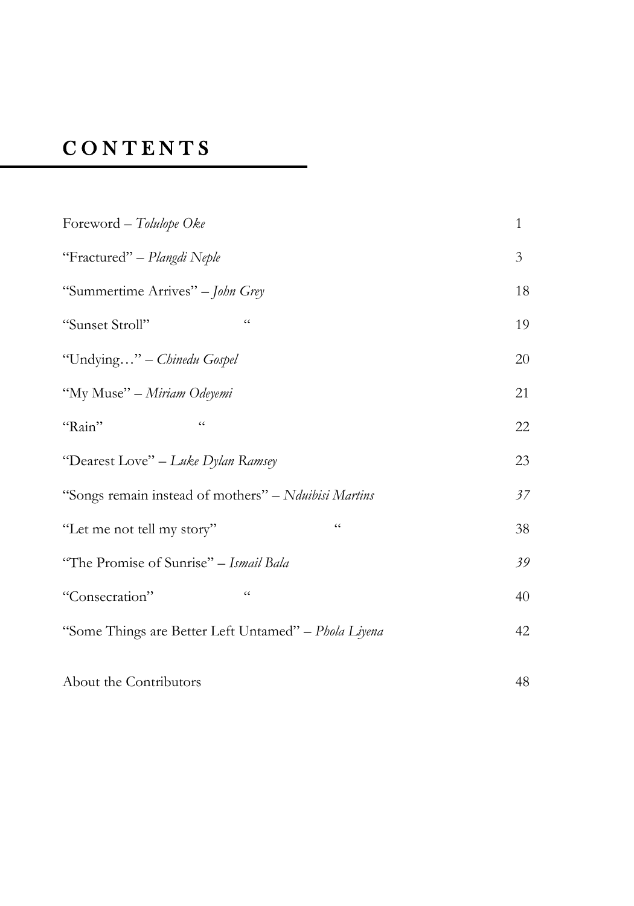# C O N T E N T S

| Foreword - Tolulope Oke                              | $\mathbf{1}$   |
|------------------------------------------------------|----------------|
| "Fractured" - Plangdi Neple                          | $\mathfrak{Z}$ |
| "Summertime Arrives" - John Grey                     | 18             |
| cc<br>"Sunset Stroll"                                | 19             |
| "Undying" - Chinedu Gospel                           | 20             |
| "My Muse" - Miriam Odeyemi                           | 21             |
| $\zeta$ $\zeta$<br>"Rain"                            | 22             |
| "Dearest Love" – Luke Dylan Ramsey                   | 23             |
| "Songs remain instead of mothers" - Nduibisi Martins | 37             |
| $\zeta$ $\zeta$<br>"Let me not tell my story"        | 38             |
| "The Promise of Sunrise" - Ismail Bala               | 39             |
| $\zeta$ $\zeta$<br>"Consecration"                    | 40             |
| "Some Things are Better Left Untamed" - Phola Liyena | 42             |
| About the Contributors                               | 48             |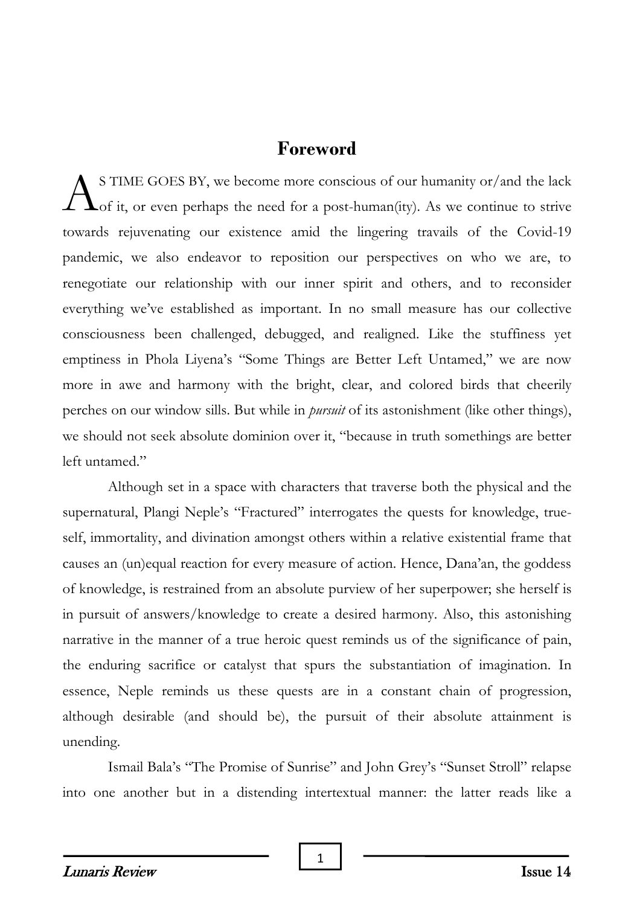# **Foreword**

S TIME GOES BY, we become more conscious of our humanity or/and the lack  $\Delta$ <sup>S TIME GOES BY, we become more conscious of our humanity or/and the lack of it, or even perhaps the need for a post-human(ity). As we continue to strive</sup> towards rejuvenating our existence amid the lingering travails of the Covid-19 pandemic, we also endeavor to reposition our perspectives on who we are, to renegotiate our relationship with our inner spirit and others, and to reconsider everything we've established as important. In no small measure has our collective consciousness been challenged, debugged, and realigned. Like the stuffiness yet emptiness in Phola Liyena's "Some Things are Better Left Untamed," we are now more in awe and harmony with the bright, clear, and colored birds that cheerily perches on our window sills. But while in *pursuit* of its astonishment (like other things), we should not seek absolute dominion over it, "because in truth somethings are better left untamed."

Although set in a space with characters that traverse both the physical and the supernatural, Plangi Neple's "Fractured" interrogates the quests for knowledge, trueself, immortality, and divination amongst others within a relative existential frame that causes an (un)equal reaction for every measure of action. Hence, Dana'an, the goddess of knowledge, is restrained from an absolute purview of her superpower; she herself is in pursuit of answers/knowledge to create a desired harmony. Also, this astonishing narrative in the manner of a true heroic quest reminds us of the significance of pain, the enduring sacrifice or catalyst that spurs the substantiation of imagination. In essence, Neple reminds us these quests are in a constant chain of progression, although desirable (and should be), the pursuit of their absolute attainment is unending.

Ismail Bala's "The Promise of Sunrise" and John Grey's "Sunset Stroll" relapse into one another but in a distending intertextual manner: the latter reads like a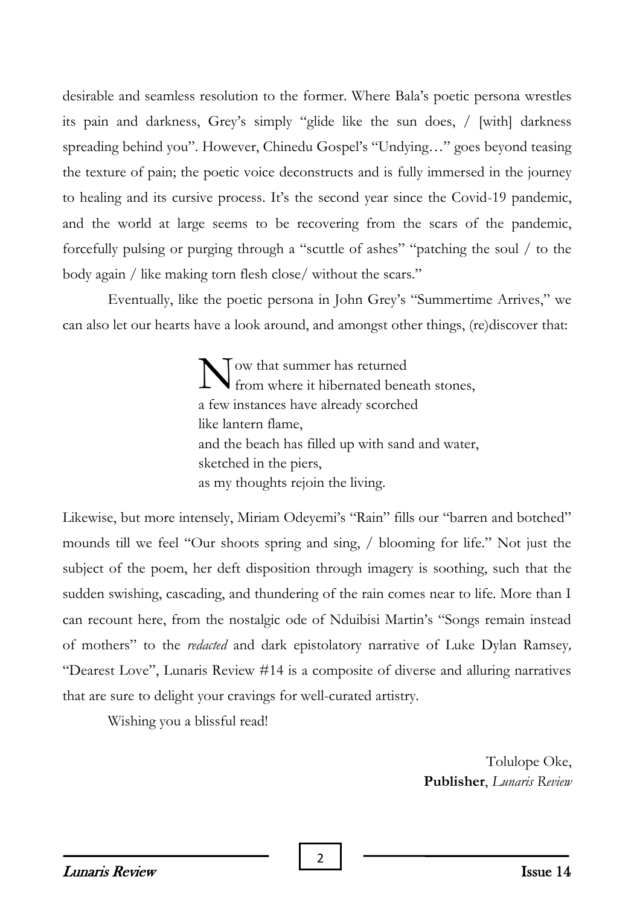desirable and seamless resolution to the former. Where Bala's poetic persona wrestles its pain and darkness, Grey's simply "glide like the sun does, / [with] darkness spreading behind you". However, Chinedu Gospel's "Undying…" goes beyond teasing the texture of pain; the poetic voice deconstructs and is fully immersed in the journey to healing and its cursive process. It's the second year since the Covid-19 pandemic, and the world at large seems to be recovering from the scars of the pandemic, forcefully pulsing or purging through a "scuttle of ashes" "patching the soul / to the body again / like making torn flesh close/ without the scars."

Eventually, like the poetic persona in John Grey's "Summertime Arrives," we can also let our hearts have a look around, and amongst other things, (re)discover that:

> N ow that summer has returned<br>from where it hibernated ben from where it hibernated beneath stones, a few instances have already scorched like lantern flame, and the beach has filled up with sand and water, sketched in the piers, as my thoughts rejoin the living.

Likewise, but more intensely, Miriam Odeyemi's "Rain" fills our "barren and botched" mounds till we feel "Our shoots spring and sing, / blooming for life." Not just the subject of the poem, her deft disposition through imagery is soothing, such that the sudden swishing, cascading, and thundering of the rain comes near to life. More than I can recount here, from the nostalgic ode of Nduibisi Martin's "Songs remain instead of mothers" to the *redacted* and dark epistolatory narrative of Luke Dylan Ramsey*,*  "Dearest Love", Lunaris Review #14 is a composite of diverse and alluring narratives that are sure to delight your cravings for well-curated artistry.

Wishing you a blissful read!

Tolulope Oke, **Publisher**, *Lunaris Review*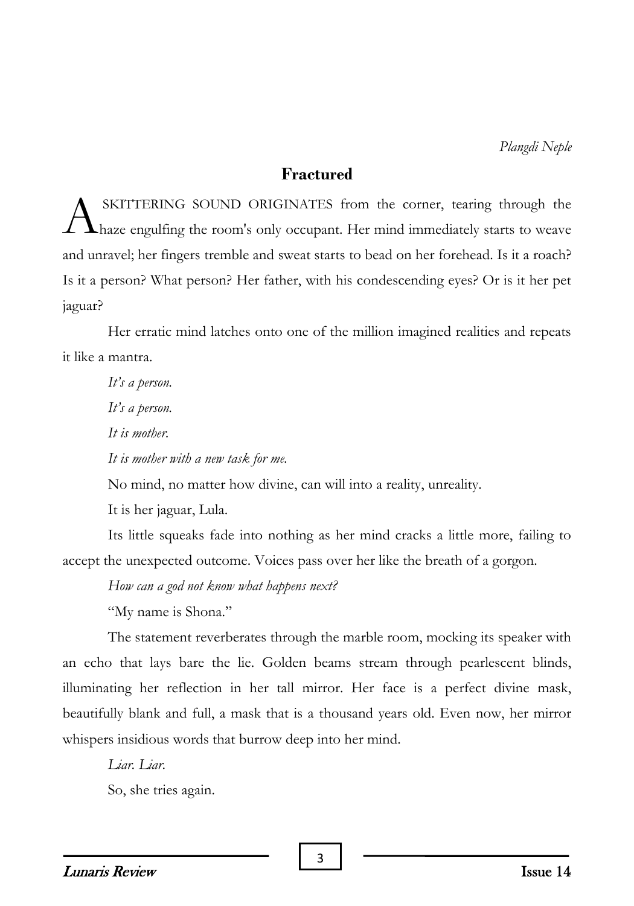# **Fractured**

SKITTERING SOUND ORIGINATES from the corner, tearing through the haze engulfing the room's only occupant. Her mind immediately starts to weave and unravel; her fingers tremble and sweat starts to bead on her forehead. Is it a roach? Is it a person? What person? Her father, with his condescending eyes? Or is it her pet jaguar? A

Her erratic mind latches onto one of the million imagined realities and repeats it like a mantra.

*It's a person. It's a person. It is mother. It is mother with a new task for me.*

No mind, no matter how divine, can will into a reality, unreality.

It is her jaguar, Lula.

Its little squeaks fade into nothing as her mind cracks a little more, failing to accept the unexpected outcome. Voices pass over her like the breath of a gorgon.

*How can a god not know what happens next?*

"My name is Shona."

The statement reverberates through the marble room, mocking its speaker with an echo that lays bare the lie. Golden beams stream through pearlescent blinds, illuminating her reflection in her tall mirror. Her face is a perfect divine mask, beautifully blank and full, a mask that is a thousand years old. Even now, her mirror whispers insidious words that burrow deep into her mind.

*Liar. Liar.*

So, she tries again.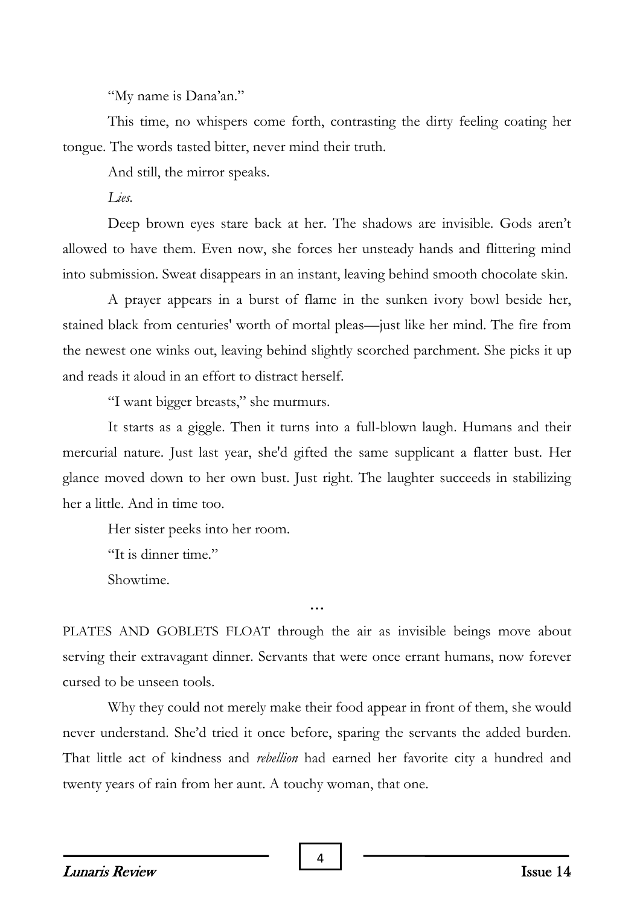"My name is Dana'an."

This time, no whispers come forth, contrasting the dirty feeling coating her tongue. The words tasted bitter, never mind their truth.

And still, the mirror speaks.

*Lies.*

Deep brown eyes stare back at her. The shadows are invisible. Gods aren't allowed to have them. Even now, she forces her unsteady hands and flittering mind into submission. Sweat disappears in an instant, leaving behind smooth chocolate skin.

A prayer appears in a burst of flame in the sunken ivory bowl beside her, stained black from centuries' worth of mortal pleas—just like her mind. The fire from the newest one winks out, leaving behind slightly scorched parchment. She picks it up and reads it aloud in an effort to distract herself.

"I want bigger breasts," she murmurs.

It starts as a giggle. Then it turns into a full-blown laugh. Humans and their mercurial nature. Just last year, she'd gifted the same supplicant a flatter bust. Her glance moved down to her own bust. Just right. The laughter succeeds in stabilizing her a little. And in time too.

Her sister peeks into her room.

"It is dinner time."

Showtime.

PLATES AND GOBLETS FLOAT through the air as invisible beings move about serving their extravagant dinner. Servants that were once errant humans, now forever cursed to be unseen tools.

**…**

Why they could not merely make their food appear in front of them, she would never understand. She'd tried it once before, sparing the servants the added burden. That little act of kindness and *rebellion* had earned her favorite city a hundred and twenty years of rain from her aunt. A touchy woman, that one.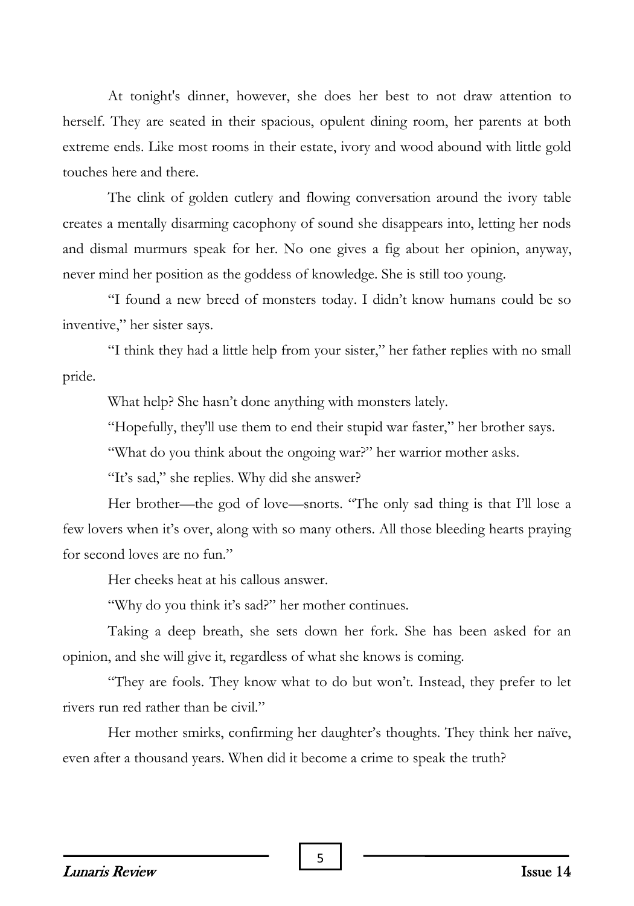At tonight's dinner, however, she does her best to not draw attention to herself. They are seated in their spacious, opulent dining room, her parents at both extreme ends. Like most rooms in their estate, ivory and wood abound with little gold touches here and there.

The clink of golden cutlery and flowing conversation around the ivory table creates a mentally disarming cacophony of sound she disappears into, letting her nods and dismal murmurs speak for her. No one gives a fig about her opinion, anyway, never mind her position as the goddess of knowledge. She is still too young.

"I found a new breed of monsters today. I didn't know humans could be so inventive," her sister says.

"I think they had a little help from your sister," her father replies with no small pride.

What help? She hasn't done anything with monsters lately.

"Hopefully, they'll use them to end their stupid war faster," her brother says.

"What do you think about the ongoing war?" her warrior mother asks.

"It's sad," she replies. Why did she answer?

Her brother—the god of love—snorts. "The only sad thing is that I'll lose a few lovers when it's over, along with so many others. All those bleeding hearts praying for second loves are no fun."

Her cheeks heat at his callous answer.

"Why do you think it's sad?" her mother continues.

Taking a deep breath, she sets down her fork. She has been asked for an opinion, and she will give it, regardless of what she knows is coming.

"They are fools. They know what to do but won't. Instead, they prefer to let rivers run red rather than be civil."

Her mother smirks, confirming her daughter's thoughts. They think her naïve, even after a thousand years. When did it become a crime to speak the truth?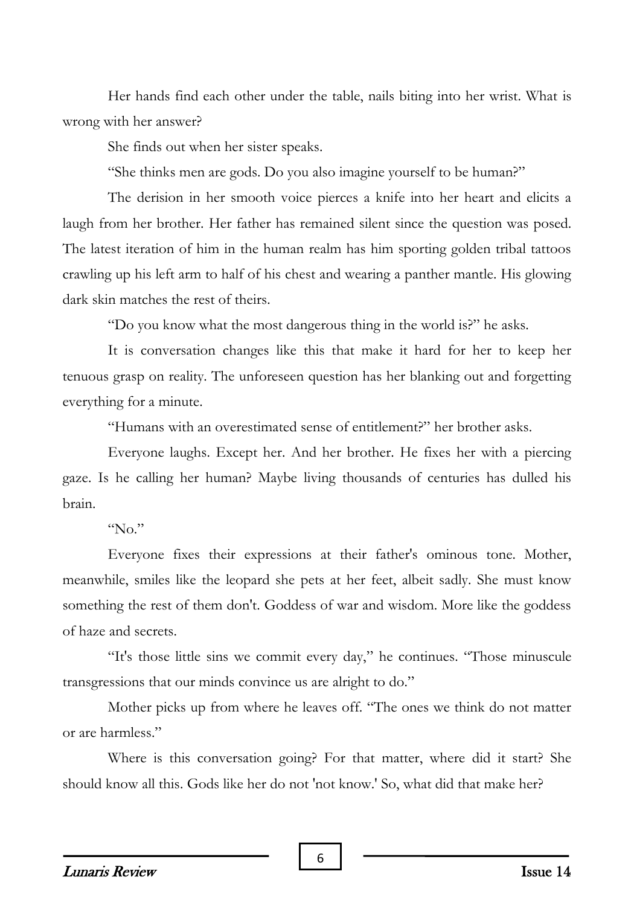Her hands find each other under the table, nails biting into her wrist. What is wrong with her answer?

She finds out when her sister speaks.

"She thinks men are gods. Do you also imagine yourself to be human?"

The derision in her smooth voice pierces a knife into her heart and elicits a laugh from her brother. Her father has remained silent since the question was posed. The latest iteration of him in the human realm has him sporting golden tribal tattoos crawling up his left arm to half of his chest and wearing a panther mantle. His glowing dark skin matches the rest of theirs.

"Do you know what the most dangerous thing in the world is?" he asks.

It is conversation changes like this that make it hard for her to keep her tenuous grasp on reality. The unforeseen question has her blanking out and forgetting everything for a minute.

"Humans with an overestimated sense of entitlement?" her brother asks.

Everyone laughs. Except her. And her brother. He fixes her with a piercing gaze. Is he calling her human? Maybe living thousands of centuries has dulled his brain.

" $N_0$ "

Everyone fixes their expressions at their father's ominous tone. Mother, meanwhile, smiles like the leopard she pets at her feet, albeit sadly. She must know something the rest of them don't. Goddess of war and wisdom. More like the goddess of haze and secrets.

"It's those little sins we commit every day," he continues. "Those minuscule transgressions that our minds convince us are alright to do."

Mother picks up from where he leaves off. "The ones we think do not matter or are harmless."

Where is this conversation going? For that matter, where did it start? She should know all this. Gods like her do not 'not know.' So, what did that make her?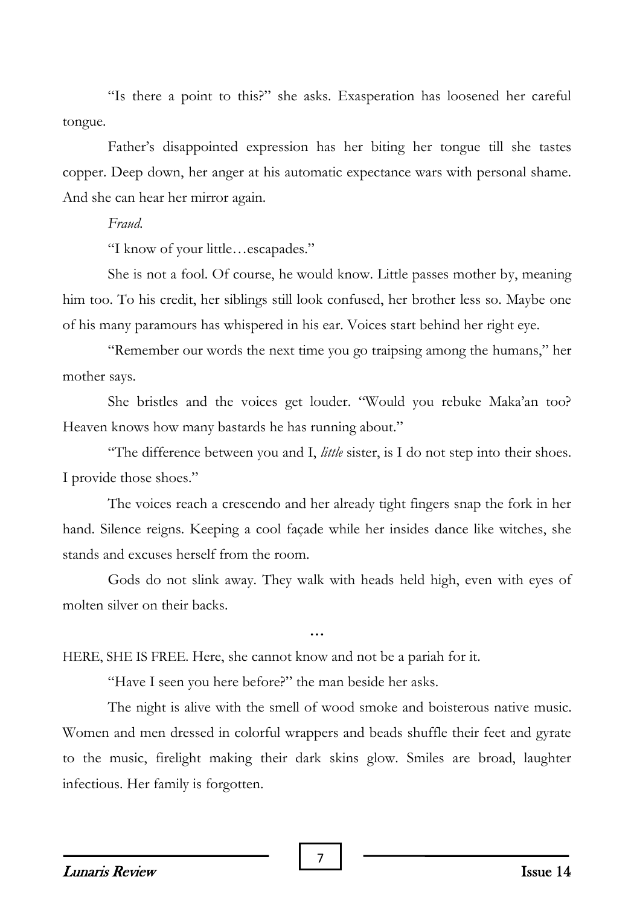"Is there a point to this?" she asks. Exasperation has loosened her careful tongue.

Father's disappointed expression has her biting her tongue till she tastes copper. Deep down, her anger at his automatic expectance wars with personal shame. And she can hear her mirror again.

*Fraud.*

"I know of your little…escapades."

She is not a fool. Of course, he would know. Little passes mother by, meaning him too. To his credit, her siblings still look confused, her brother less so. Maybe one of his many paramours has whispered in his ear. Voices start behind her right eye.

"Remember our words the next time you go traipsing among the humans," her mother says.

She bristles and the voices get louder. "Would you rebuke Maka'an too? Heaven knows how many bastards he has running about."

"The difference between you and I, *little* sister, is I do not step into their shoes. I provide those shoes."

The voices reach a crescendo and her already tight fingers snap the fork in her hand. Silence reigns. Keeping a cool façade while her insides dance like witches, she stands and excuses herself from the room.

Gods do not slink away. They walk with heads held high, even with eyes of molten silver on their backs.

**…**

HERE, SHE IS FREE. Here, she cannot know and not be a pariah for it.

"Have I seen you here before?" the man beside her asks.

The night is alive with the smell of wood smoke and boisterous native music. Women and men dressed in colorful wrappers and beads shuffle their feet and gyrate to the music, firelight making their dark skins glow. Smiles are broad, laughter infectious. Her family is forgotten.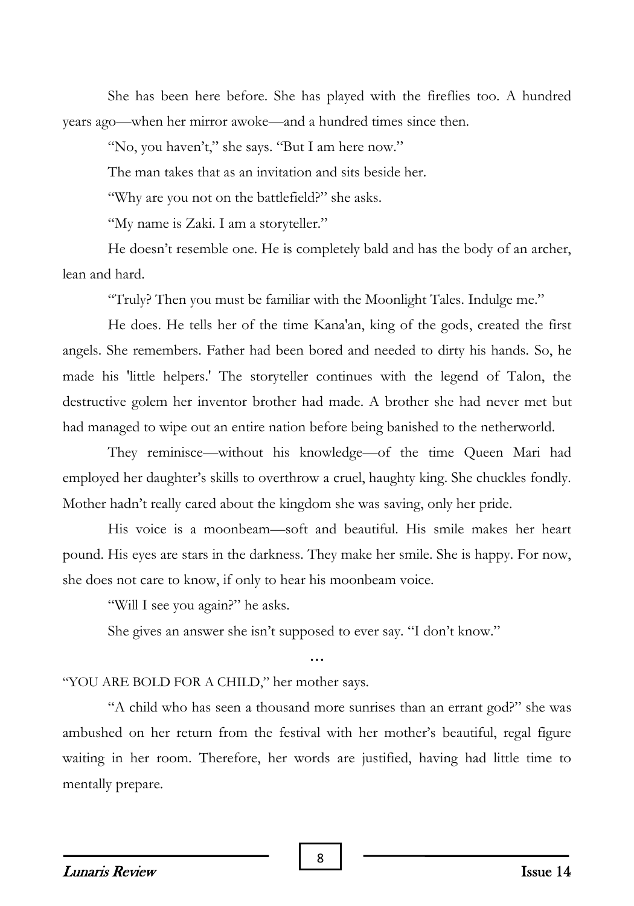She has been here before. She has played with the fireflies too. A hundred years ago—when her mirror awoke—and a hundred times since then.

"No, you haven't," she says. "But I am here now."

The man takes that as an invitation and sits beside her.

"Why are you not on the battlefield?" she asks.

"My name is Zaki. I am a storyteller."

He doesn't resemble one. He is completely bald and has the body of an archer, lean and hard.

"Truly? Then you must be familiar with the Moonlight Tales. Indulge me."

He does. He tells her of the time Kana'an, king of the gods, created the first angels. She remembers. Father had been bored and needed to dirty his hands. So, he made his 'little helpers.' The storyteller continues with the legend of Talon, the destructive golem her inventor brother had made. A brother she had never met but had managed to wipe out an entire nation before being banished to the netherworld.

They reminisce—without his knowledge—of the time Queen Mari had employed her daughter's skills to overthrow a cruel, haughty king. She chuckles fondly. Mother hadn't really cared about the kingdom she was saving, only her pride.

His voice is a moonbeam—soft and beautiful. His smile makes her heart pound. His eyes are stars in the darkness. They make her smile. She is happy. For now, she does not care to know, if only to hear his moonbeam voice.

"Will I see you again?" he asks.

She gives an answer she isn't supposed to ever say. "I don't know."

**…**

"YOU ARE BOLD FOR A CHILD," her mother says.

"A child who has seen a thousand more sunrises than an errant god?" she was ambushed on her return from the festival with her mother's beautiful, regal figure waiting in her room. Therefore, her words are justified, having had little time to mentally prepare.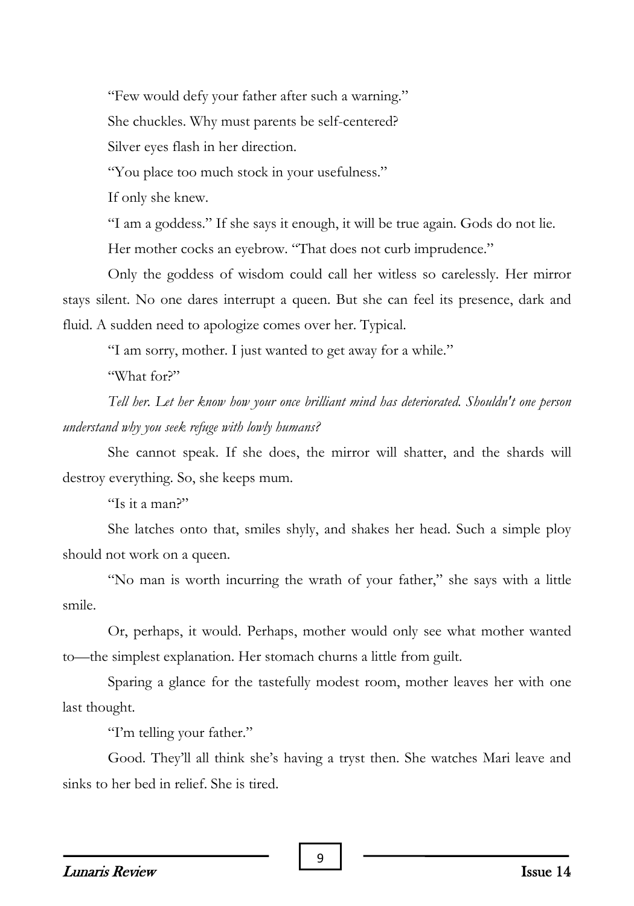"Few would defy your father after such a warning."

She chuckles. Why must parents be self-centered?

Silver eyes flash in her direction.

"You place too much stock in your usefulness."

If only she knew.

"I am a goddess." If she says it enough, it will be true again. Gods do not lie.

Her mother cocks an eyebrow. "That does not curb imprudence."

Only the goddess of wisdom could call her witless so carelessly. Her mirror stays silent. No one dares interrupt a queen. But she can feel its presence, dark and fluid. A sudden need to apologize comes over her. Typical.

"I am sorry, mother. I just wanted to get away for a while."

"What for?"

*Tell her. Let her know how your once brilliant mind has deteriorated. Shouldn't one person understand why you seek refuge with lowly humans?*

She cannot speak. If she does, the mirror will shatter, and the shards will destroy everything. So, she keeps mum.

"Is it a man?"

She latches onto that, smiles shyly, and shakes her head. Such a simple ploy should not work on a queen.

"No man is worth incurring the wrath of your father," she says with a little smile.

Or, perhaps, it would. Perhaps, mother would only see what mother wanted to—the simplest explanation. Her stomach churns a little from guilt.

Sparing a glance for the tastefully modest room, mother leaves her with one last thought.

"I'm telling your father."

Good. They'll all think she's having a tryst then. She watches Mari leave and sinks to her bed in relief. She is tired.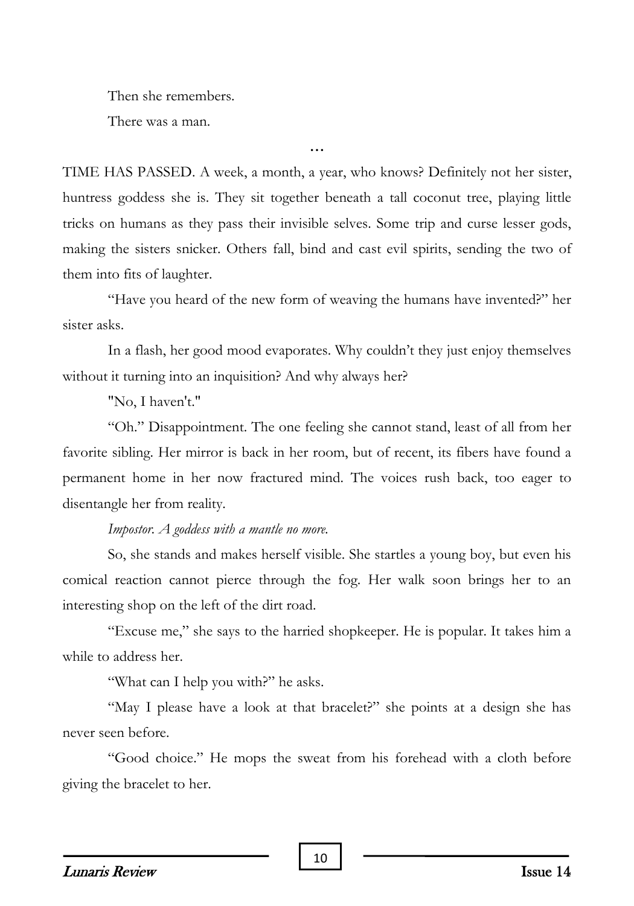Then she remembers.

There was a man.

TIME HAS PASSED. A week, a month, a year, who knows? Definitely not her sister, huntress goddess she is. They sit together beneath a tall coconut tree, playing little tricks on humans as they pass their invisible selves. Some trip and curse lesser gods, making the sisters snicker. Others fall, bind and cast evil spirits, sending the two of them into fits of laughter.

**…**

"Have you heard of the new form of weaving the humans have invented?" her sister asks.

In a flash, her good mood evaporates. Why couldn't they just enjoy themselves without it turning into an inquisition? And why always her?

"No, I haven't."

"Oh." Disappointment. The one feeling she cannot stand, least of all from her favorite sibling. Her mirror is back in her room, but of recent, its fibers have found a permanent home in her now fractured mind. The voices rush back, too eager to disentangle her from reality.

# *Impostor. A goddess with a mantle no more.*

So, she stands and makes herself visible. She startles a young boy, but even his comical reaction cannot pierce through the fog. Her walk soon brings her to an interesting shop on the left of the dirt road.

"Excuse me," she says to the harried shopkeeper. He is popular. It takes him a while to address her.

"What can I help you with?" he asks.

"May I please have a look at that bracelet?" she points at a design she has never seen before.

"Good choice." He mops the sweat from his forehead with a cloth before giving the bracelet to her.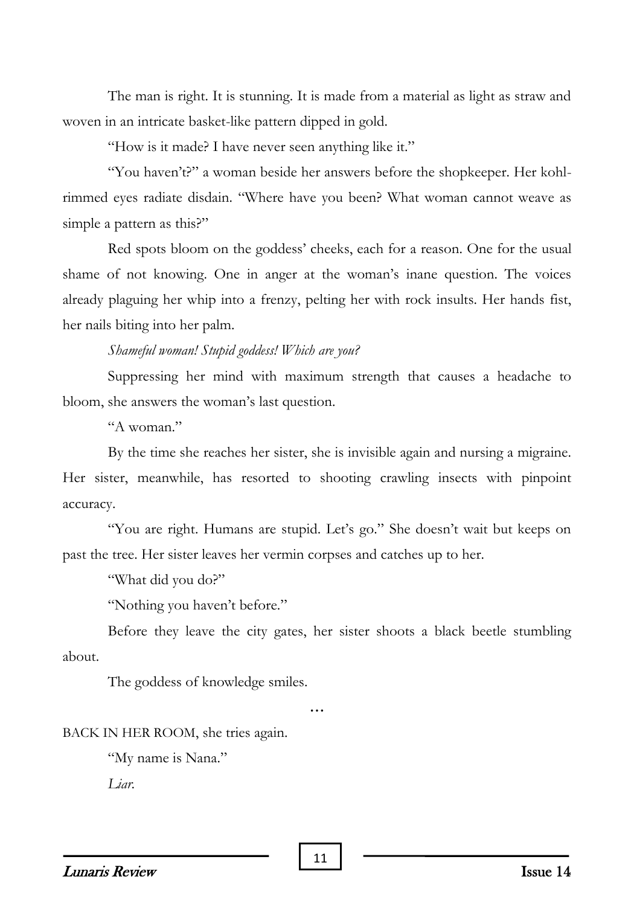The man is right. It is stunning. It is made from a material as light as straw and woven in an intricate basket-like pattern dipped in gold.

"How is it made? I have never seen anything like it."

"You haven't?" a woman beside her answers before the shopkeeper. Her kohlrimmed eyes radiate disdain. "Where have you been? What woman cannot weave as simple a pattern as this?"

Red spots bloom on the goddess' cheeks, each for a reason. One for the usual shame of not knowing. One in anger at the woman's inane question. The voices already plaguing her whip into a frenzy, pelting her with rock insults. Her hands fist, her nails biting into her palm.

*Shameful woman! Stupid goddess! Which are you?*

Suppressing her mind with maximum strength that causes a headache to bloom, she answers the woman's last question.

"A woman"

By the time she reaches her sister, she is invisible again and nursing a migraine. Her sister, meanwhile, has resorted to shooting crawling insects with pinpoint accuracy.

"You are right. Humans are stupid. Let's go." She doesn't wait but keeps on past the tree. Her sister leaves her vermin corpses and catches up to her.

"What did you do?"

"Nothing you haven't before."

Before they leave the city gates, her sister shoots a black beetle stumbling about.

The goddess of knowledge smiles.

**…**

BACK IN HER ROOM, she tries again.

"My name is Nana."

*Liar.*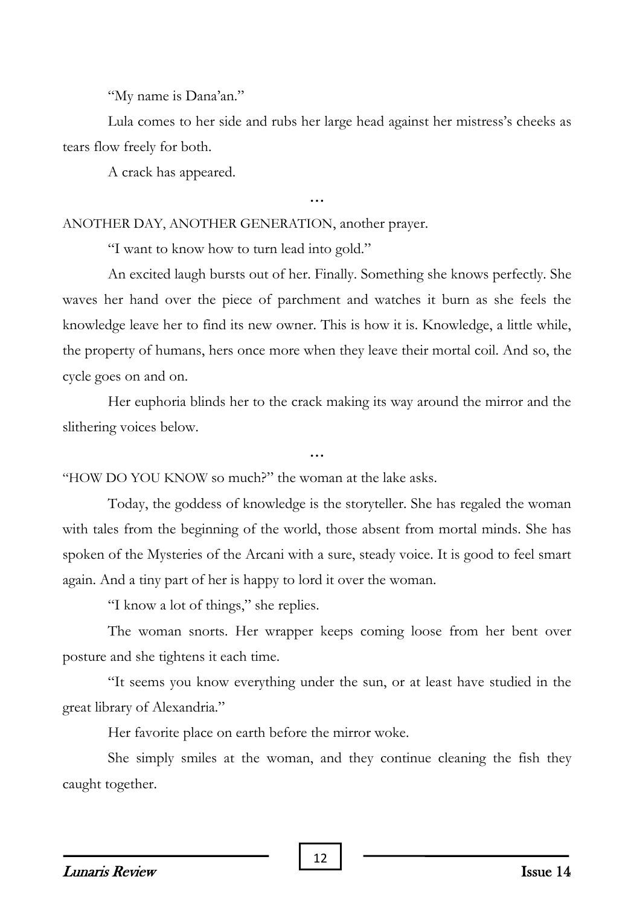"My name is Dana'an."

Lula comes to her side and rubs her large head against her mistress's cheeks as tears flow freely for both.

A crack has appeared.

**…**

## ANOTHER DAY, ANOTHER GENERATION, another prayer.

"I want to know how to turn lead into gold."

An excited laugh bursts out of her. Finally. Something she knows perfectly. She waves her hand over the piece of parchment and watches it burn as she feels the knowledge leave her to find its new owner. This is how it is. Knowledge, a little while, the property of humans, hers once more when they leave their mortal coil. And so, the cycle goes on and on.

Her euphoria blinds her to the crack making its way around the mirror and the slithering voices below.

**…**

"HOW DO YOU KNOW so much?" the woman at the lake asks.

Today, the goddess of knowledge is the storyteller. She has regaled the woman with tales from the beginning of the world, those absent from mortal minds. She has spoken of the Mysteries of the Arcani with a sure, steady voice. It is good to feel smart again. And a tiny part of her is happy to lord it over the woman.

"I know a lot of things," she replies.

The woman snorts. Her wrapper keeps coming loose from her bent over posture and she tightens it each time.

"It seems you know everything under the sun, or at least have studied in the great library of Alexandria."

Her favorite place on earth before the mirror woke.

She simply smiles at the woman, and they continue cleaning the fish they caught together.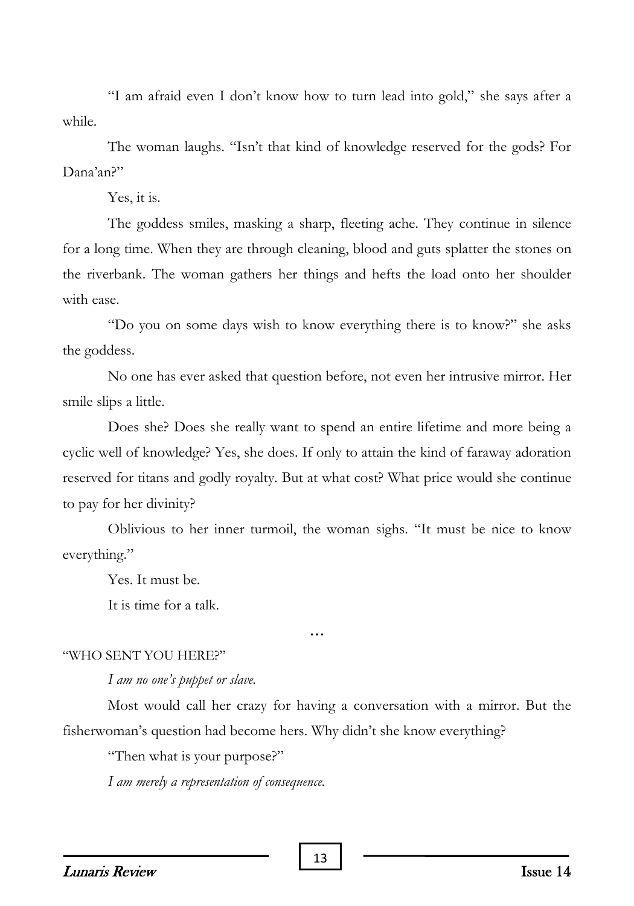"I am afraid even I don't know how to turn lead into gold," she says after a while.

The woman laughs. "Isn't that kind of knowledge reserved for the gods? For Dana'an?"

Yes, it is.

The goddess smiles, masking a sharp, fleeting ache. They continue in silence for a long time. When they are through cleaning, blood and guts splatter the stones on the riverbank. The woman gathers her things and hefts the load onto her shoulder with ease.

"Do you on some days wish to know everything there is to know?" she asks the goddess.

No one has ever asked that question before, not even her intrusive mirror. Her smile slips a little.

Does she? Does she really want to spend an entire lifetime and more being a cyclic well of knowledge? Yes, she does. If only to attain the kind of faraway adoration reserved for titans and godly royalty. But at what cost? What price would she continue to pay for her divinity?

Oblivious to her inner turmoil, the woman sighs. "It must be nice to know everything."

Yes. It must be.

It is time for a talk.

#### "WHO SENT YOU HERE?"

#### *I am no one's puppet or slave.*

Most would call her crazy for having a conversation with a mirror. But the fisherwoman's question had become hers. Why didn't she know everything?

**…**

"Then what is your purpose?"

*I am merely a representation of consequence.*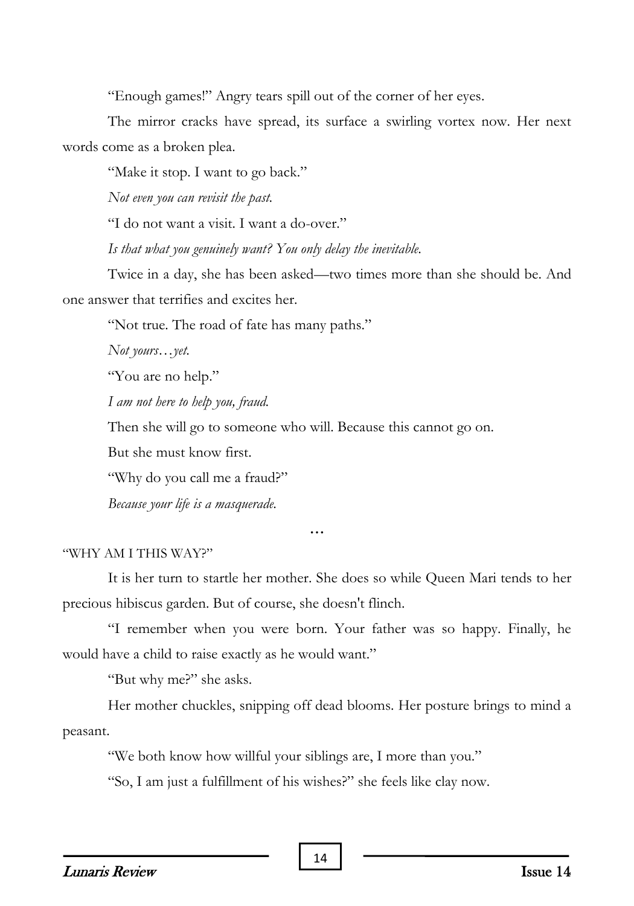"Enough games!" Angry tears spill out of the corner of her eyes.

The mirror cracks have spread, its surface a swirling vortex now. Her next words come as a broken plea.

"Make it stop. I want to go back."

*Not even you can revisit the past.*

"I do not want a visit. I want a do-over."

*Is that what you genuinely want? You only delay the inevitable.*

Twice in a day, she has been asked—two times more than she should be. And one answer that terrifies and excites her.

"Not true. The road of fate has many paths."

*Not yours…yet.*

"You are no help."

*I am not here to help you, fraud.*

Then she will go to someone who will. Because this cannot go on.

But she must know first.

"Why do you call me a fraud?"

*Because your life is a masquerade.*

**…**

## "WHY AM I THIS WAY?"

It is her turn to startle her mother. She does so while Queen Mari tends to her precious hibiscus garden. But of course, she doesn't flinch.

"I remember when you were born. Your father was so happy. Finally, he would have a child to raise exactly as he would want."

"But why me?" she asks.

Her mother chuckles, snipping off dead blooms. Her posture brings to mind a peasant.

"We both know how willful your siblings are, I more than you."

"So, I am just a fulfillment of his wishes?" she feels like clay now.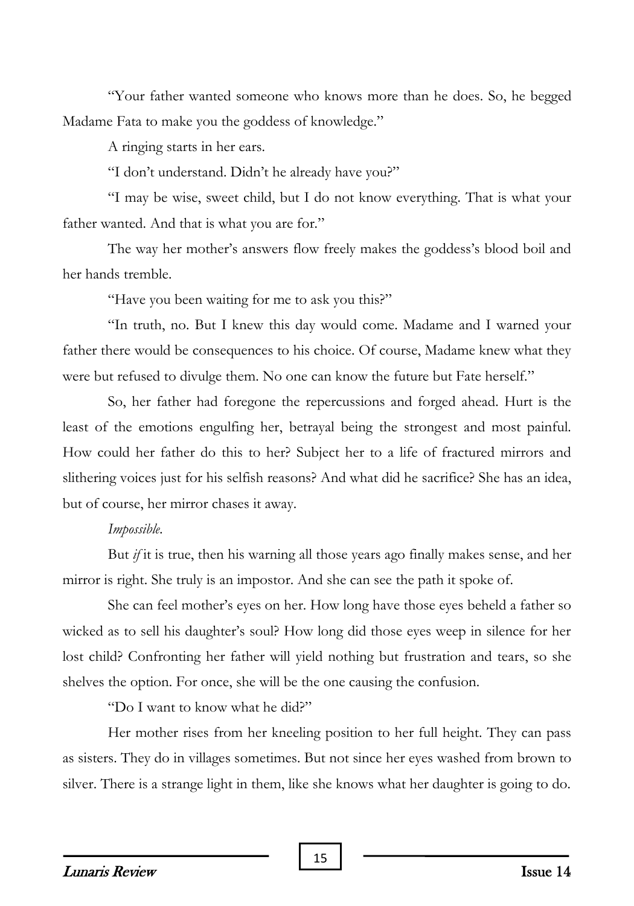"Your father wanted someone who knows more than he does. So, he begged Madame Fata to make you the goddess of knowledge."

A ringing starts in her ears.

"I don't understand. Didn't he already have you?"

"I may be wise, sweet child, but I do not know everything. That is what your father wanted. And that is what you are for."

The way her mother's answers flow freely makes the goddess's blood boil and her hands tremble.

"Have you been waiting for me to ask you this?"

"In truth, no. But I knew this day would come. Madame and I warned your father there would be consequences to his choice. Of course, Madame knew what they were but refused to divulge them. No one can know the future but Fate herself."

So, her father had foregone the repercussions and forged ahead. Hurt is the least of the emotions engulfing her, betrayal being the strongest and most painful. How could her father do this to her? Subject her to a life of fractured mirrors and slithering voices just for his selfish reasons? And what did he sacrifice? She has an idea, but of course, her mirror chases it away.

## *Impossible.*

But *if* it is true, then his warning all those years ago finally makes sense, and her mirror is right. She truly is an impostor. And she can see the path it spoke of.

She can feel mother's eyes on her. How long have those eyes beheld a father so wicked as to sell his daughter's soul? How long did those eyes weep in silence for her lost child? Confronting her father will yield nothing but frustration and tears, so she shelves the option. For once, she will be the one causing the confusion.

"Do I want to know what he did?"

Her mother rises from her kneeling position to her full height. They can pass as sisters. They do in villages sometimes. But not since her eyes washed from brown to silver. There is a strange light in them, like she knows what her daughter is going to do.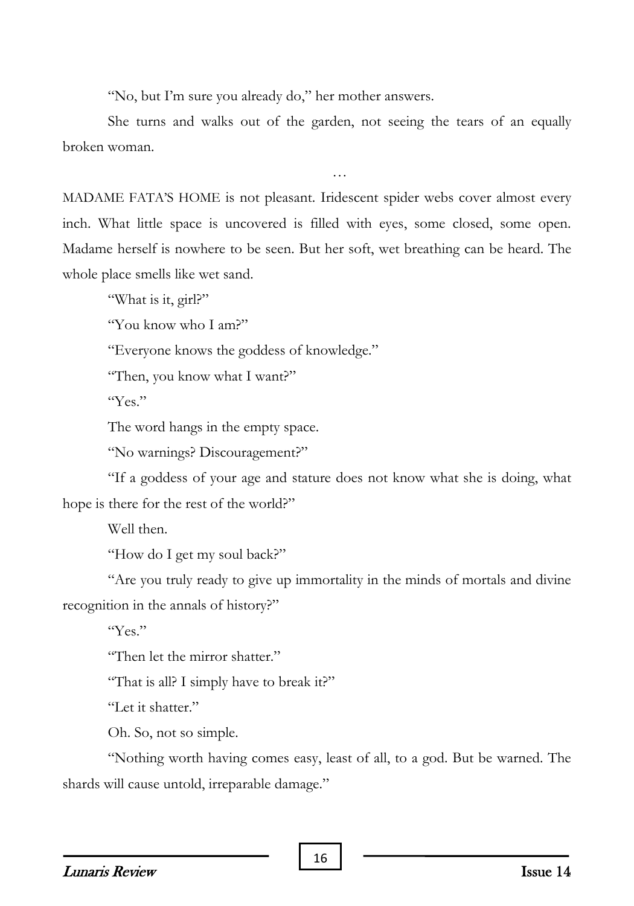"No, but I'm sure you already do," her mother answers.

She turns and walks out of the garden, not seeing the tears of an equally broken woman.

…

MADAME FATA'S HOME is not pleasant. Iridescent spider webs cover almost every inch. What little space is uncovered is filled with eyes, some closed, some open. Madame herself is nowhere to be seen. But her soft, wet breathing can be heard. The whole place smells like wet sand.

"What is it, girl?"

"You know who I am?"

"Everyone knows the goddess of knowledge."

"Then, you know what I want?"

"Yes"

The word hangs in the empty space.

"No warnings? Discouragement?"

"If a goddess of your age and stature does not know what she is doing, what hope is there for the rest of the world?"

Well then.

"How do I get my soul back?"

"Are you truly ready to give up immortality in the minds of mortals and divine recognition in the annals of history?"

"Yes."

"Then let the mirror shatter."

"That is all? I simply have to break it?"

"Let it shatter"

Oh. So, not so simple.

"Nothing worth having comes easy, least of all, to a god. But be warned. The shards will cause untold, irreparable damage."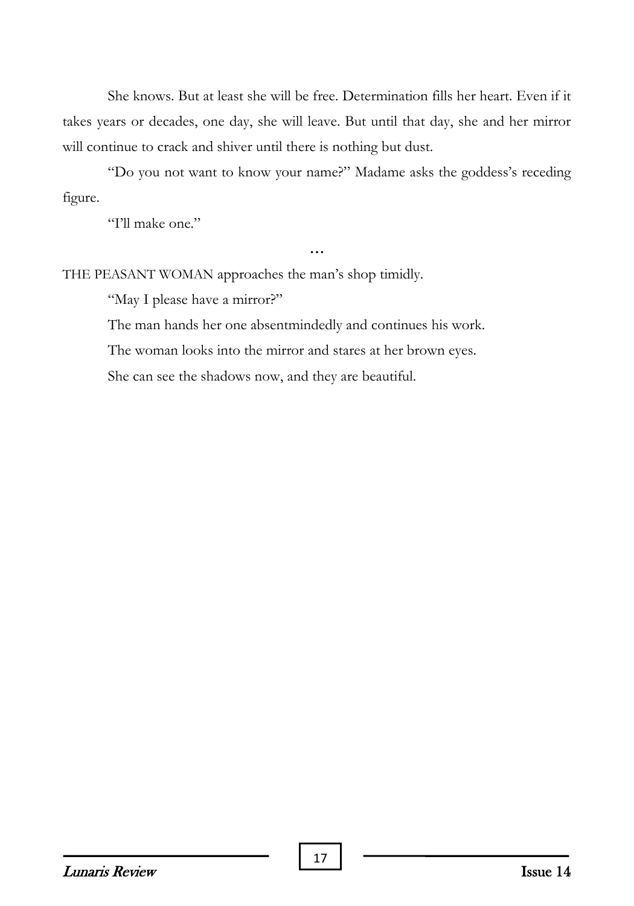She knows. But at least she will be free. Determination fills her heart. Even if it takes years or decades, one day, she will leave. But until that day, she and her mirror will continue to crack and shiver until there is nothing but dust.

"Do you not want to know your name?" Madame asks the goddess's receding figure.

**…**

"I'll make one"

THE PEASANT WOMAN approaches the man's shop timidly.

"May I please have a mirror?"

The man hands her one absentmindedly and continues his work.

The woman looks into the mirror and stares at her brown eyes.

She can see the shadows now, and they are beautiful.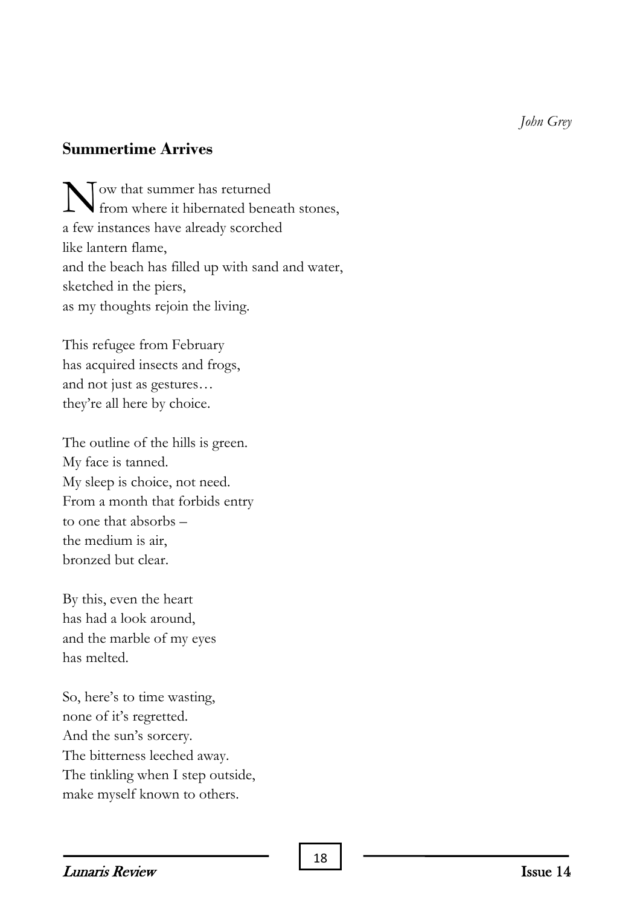*John Grey*

# **Summertime Arrives**

ow that summer has returned  $\sum$  ow that summer has returned<br>from where it hibernated beneath stones, a few instances have already scorched like lantern flame, and the beach has filled up with sand and water, sketched in the piers, as my thoughts rejoin the living.

This refugee from February has acquired insects and frogs, and not just as gestures… they're all here by choice.

The outline of the hills is green. My face is tanned. My sleep is choice, not need. From a month that forbids entry to one that absorbs – the medium is air, bronzed but clear.

By this, even the heart has had a look around, and the marble of my eyes has melted.

So, here's to time wasting, none of it's regretted. And the sun's sorcery. The bitterness leeched away. The tinkling when I step outside, make myself known to others.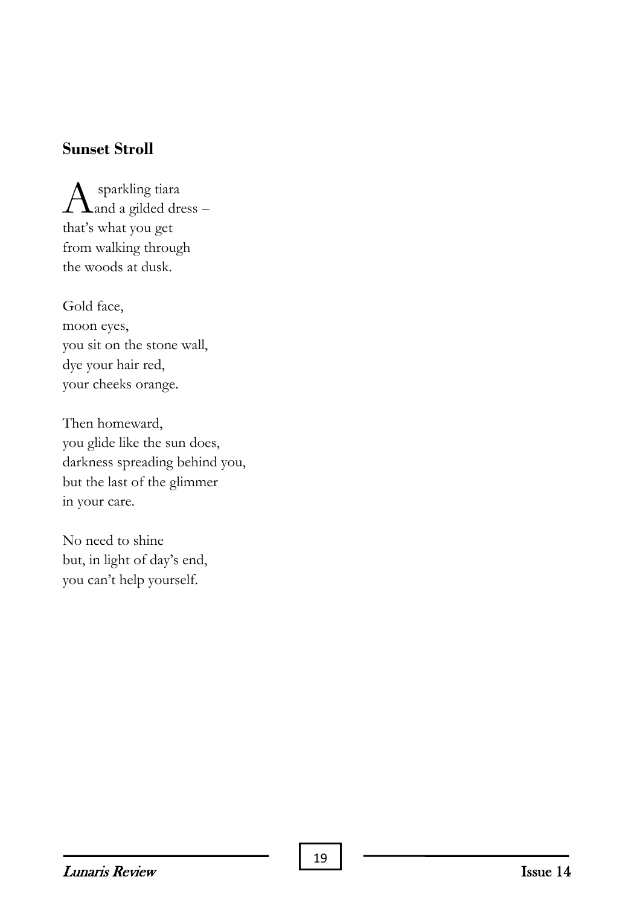# **Sunset Stroll**

sparkling tiara  $A$  sparkling tiara<br>and a gilded dress – that's what you get from walking through the woods at dusk.

Gold face, moon eyes, you sit on the stone wall, dye your hair red, your cheeks orange.

Then homeward, you glide like the sun does, darkness spreading behind you, but the last of the glimmer in your care.

No need to shine but, in light of day's end, you can't help yourself.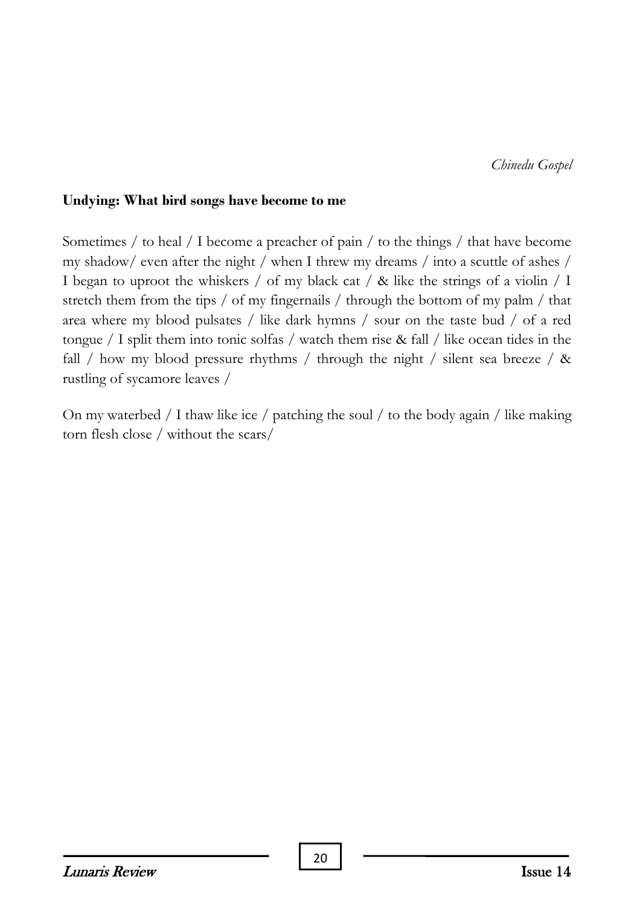#### **Undying: What bird songs have become to me**

Sometimes / to heal / I become a preacher of pain / to the things / that have become my shadow/ even after the night / when I threw my dreams / into a scuttle of ashes / I began to uproot the whiskers / of my black cat /  $\&$  like the strings of a violin / I stretch them from the tips / of my fingernails / through the bottom of my palm / that area where my blood pulsates / like dark hymns / sour on the taste bud / of a red tongue / I split them into tonic solfas / watch them rise & fall / like ocean tides in the fall / how my blood pressure rhythms / through the night / silent sea breeze /  $\&$ rustling of sycamore leaves /

On my waterbed  $/1$  thaw like ice  $/$  patching the soul  $/$  to the body again  $/$  like making torn flesh close / without the scars/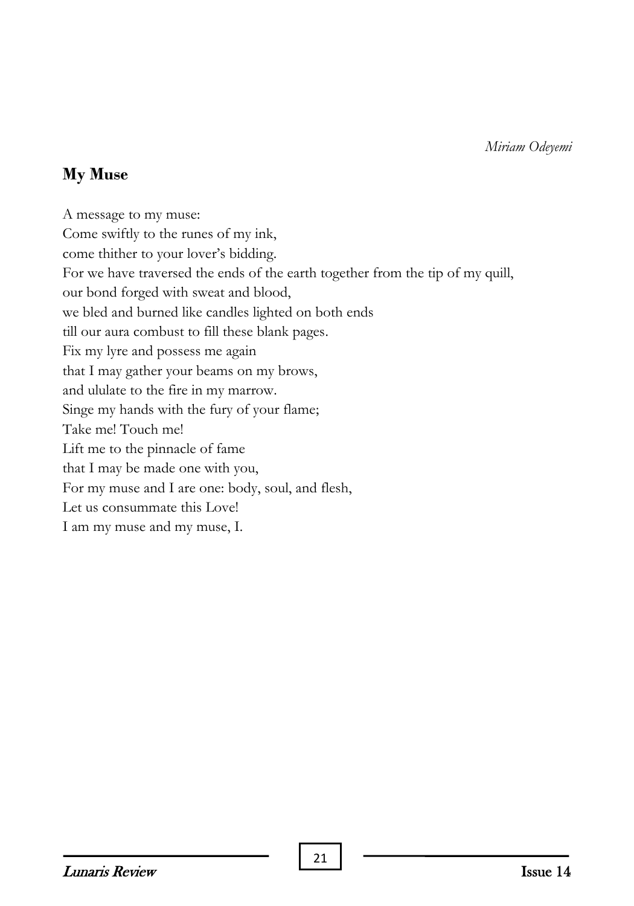*Miriam Odeyemi*

# **My Muse**

A message to my muse: Come swiftly to the runes of my ink, come thither to your lover's bidding. For we have traversed the ends of the earth together from the tip of my quill, our bond forged with sweat and blood, we bled and burned like candles lighted on both ends till our aura combust to fill these blank pages. Fix my lyre and possess me again that I may gather your beams on my brows, and ululate to the fire in my marrow. Singe my hands with the fury of your flame; Take me! Touch me! Lift me to the pinnacle of fame that I may be made one with you, For my muse and I are one: body, soul, and flesh, Let us consummate this Love! I am my muse and my muse, I.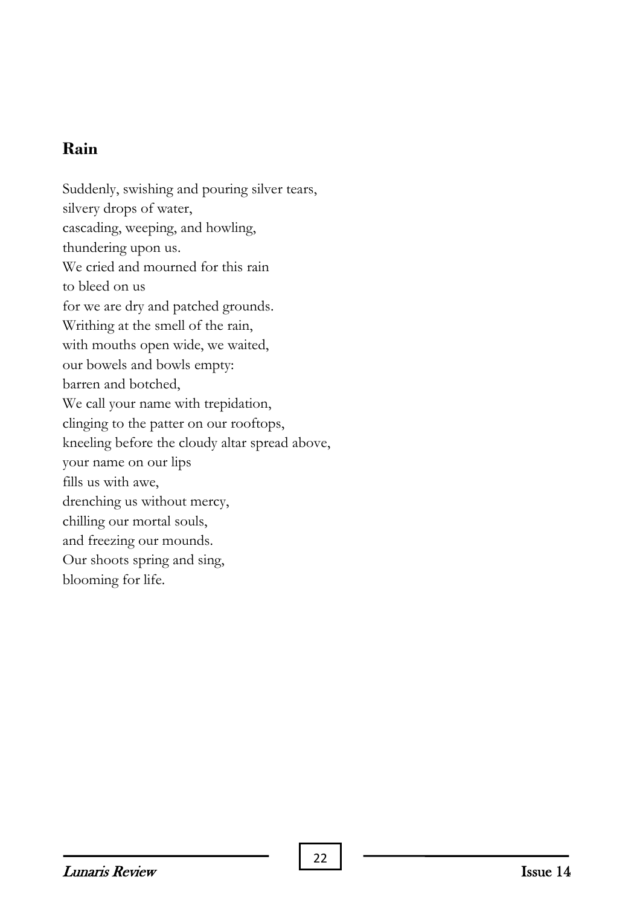# **Rain**

Suddenly, swishing and pouring silver tears, silvery drops of water, cascading, weeping, and howling, thundering upon us. We cried and mourned for this rain to bleed on us for we are dry and patched grounds. Writhing at the smell of the rain, with mouths open wide, we waited, our bowels and bowls empty: barren and botched, We call your name with trepidation, clinging to the patter on our rooftops, kneeling before the cloudy altar spread above, your name on our lips fills us with awe, drenching us without mercy, chilling our mortal souls, and freezing our mounds. Our shoots spring and sing, blooming for life.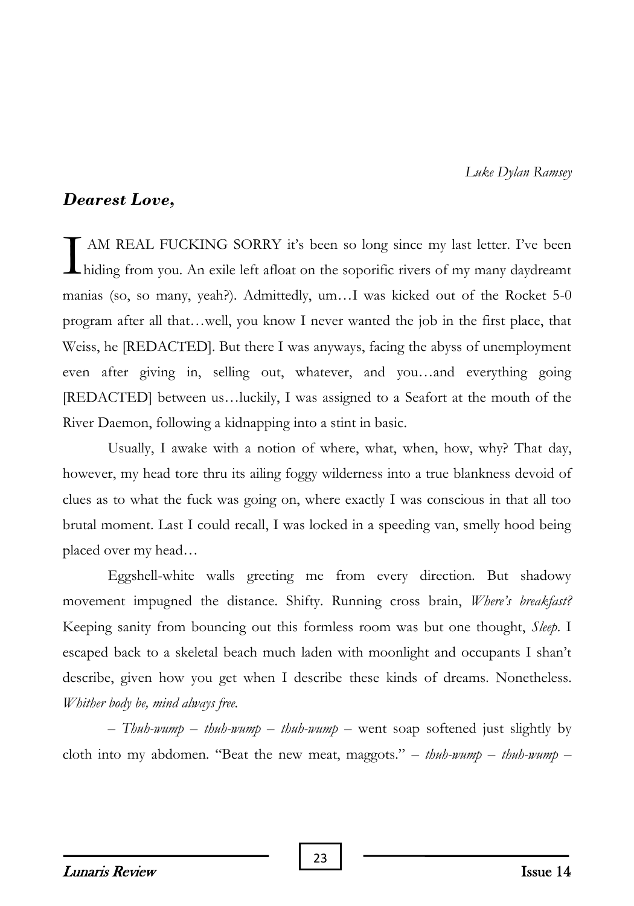*Luke Dylan Ramsey*

# *Dearest Love,*

AM REAL FUCKING SORRY it's been so long since my last letter. I've been I AM REAL FUCKING SORRY it's been so long since my last letter. I've been hiding from you. An exile left afloat on the soporific rivers of my many daydreamt manias (so, so many, yeah?). Admittedly, um…I was kicked out of the Rocket 5-0 program after all that…well, you know I never wanted the job in the first place, that Weiss, he [REDACTED]. But there I was anyways, facing the abyss of unemployment even after giving in, selling out, whatever, and you…and everything going [REDACTED] between us…luckily, I was assigned to a Seafort at the mouth of the River Daemon, following a kidnapping into a stint in basic.

Usually, I awake with a notion of where, what, when, how, why? That day, however, my head tore thru its ailing foggy wilderness into a true blankness devoid of clues as to what the fuck was going on, where exactly I was conscious in that all too brutal moment. Last I could recall, I was locked in a speeding van, smelly hood being placed over my head…

Eggshell-white walls greeting me from every direction. But shadowy movement impugned the distance. Shifty. Running cross brain, *Where's breakfast?* Keeping sanity from bouncing out this formless room was but one thought, *Sleep*. I escaped back to a skeletal beach much laden with moonlight and occupants I shan't describe, given how you get when I describe these kinds of dreams. Nonetheless. *Whither body be, mind always free.*

*– Thuh-wump – thuh-wump – thuh-wump –* went soap softened just slightly by cloth into my abdomen. "Beat the new meat, maggots." *– thuh-wump – thuh-wump –*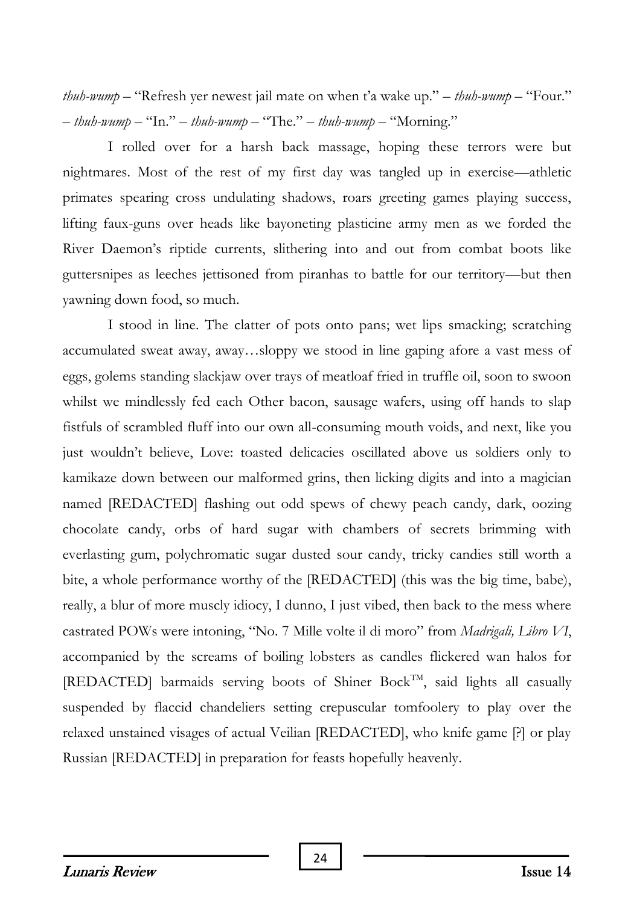*thuh-wump –* "Refresh yer newest jail mate on when t'a wake up." *– thuh-wump –* "Four." *– thuh-wump –* "In." *– thuh-wump –* "The." *– thuh-wump –* "Morning."

I rolled over for a harsh back massage, hoping these terrors were but nightmares. Most of the rest of my first day was tangled up in exercise—athletic primates spearing cross undulating shadows, roars greeting games playing success, lifting faux-guns over heads like bayoneting plasticine army men as we forded the River Daemon's riptide currents, slithering into and out from combat boots like guttersnipes as leeches jettisoned from piranhas to battle for our territory—but then yawning down food, so much.

I stood in line. The clatter of pots onto pans; wet lips smacking; scratching accumulated sweat away, away…sloppy we stood in line gaping afore a vast mess of eggs, golems standing slackjaw over trays of meatloaf fried in truffle oil, soon to swoon whilst we mindlessly fed each Other bacon, sausage wafers, using off hands to slap fistfuls of scrambled fluff into our own all-consuming mouth voids, and next, like you just wouldn't believe, Love: toasted delicacies oscillated above us soldiers only to kamikaze down between our malformed grins, then licking digits and into a magician named [REDACTED] flashing out odd spews of chewy peach candy, dark, oozing chocolate candy, orbs of hard sugar with chambers of secrets brimming with everlasting gum, polychromatic sugar dusted sour candy, tricky candies still worth a bite, a whole performance worthy of the [REDACTED] (this was the big time, babe), really, a blur of more muscly idiocy, I dunno, I just vibed, then back to the mess where castrated POWs were intoning, "No. 7 Mille volte il di moro" from *Madrigali, Libro VI*, accompanied by the screams of boiling lobsters as candles flickered wan halos for [REDACTED] barmaids serving boots of Shiner BockTM, said lights all casually suspended by flaccid chandeliers setting crepuscular tomfoolery to play over the relaxed unstained visages of actual Veilian [REDACTED], who knife game [?] or play Russian [REDACTED] in preparation for feasts hopefully heavenly.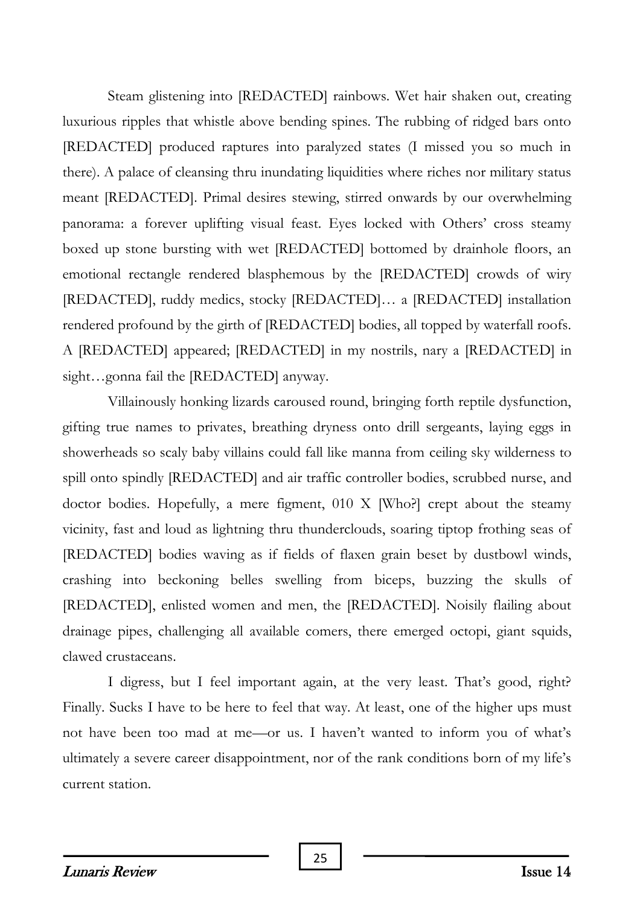Steam glistening into [REDACTED] rainbows. Wet hair shaken out, creating luxurious ripples that whistle above bending spines. The rubbing of ridged bars onto [REDACTED] produced raptures into paralyzed states (I missed you so much in there). A palace of cleansing thru inundating liquidities where riches nor military status meant [REDACTED]. Primal desires stewing, stirred onwards by our overwhelming panorama: a forever uplifting visual feast. Eyes locked with Others' cross steamy boxed up stone bursting with wet [REDACTED] bottomed by drainhole floors, an emotional rectangle rendered blasphemous by the [REDACTED] crowds of wiry [REDACTED], ruddy medics, stocky [REDACTED]… a [REDACTED] installation rendered profound by the girth of [REDACTED] bodies, all topped by waterfall roofs. A [REDACTED] appeared; [REDACTED] in my nostrils, nary a [REDACTED] in sight...gonna fail the [REDACTED] anyway.

Villainously honking lizards caroused round, bringing forth reptile dysfunction, gifting true names to privates, breathing dryness onto drill sergeants, laying eggs in showerheads so scaly baby villains could fall like manna from ceiling sky wilderness to spill onto spindly [REDACTED] and air traffic controller bodies, scrubbed nurse, and doctor bodies. Hopefully, a mere figment, 010 X [Who?] crept about the steamy vicinity, fast and loud as lightning thru thunderclouds, soaring tiptop frothing seas of [REDACTED] bodies waving as if fields of flaxen grain beset by dustbowl winds, crashing into beckoning belles swelling from biceps, buzzing the skulls of [REDACTED], enlisted women and men, the [REDACTED]. Noisily flailing about drainage pipes, challenging all available comers, there emerged octopi, giant squids, clawed crustaceans.

I digress, but I feel important again, at the very least. That's good, right? Finally. Sucks I have to be here to feel that way. At least, one of the higher ups must not have been too mad at me—or us. I haven't wanted to inform you of what's ultimately a severe career disappointment, nor of the rank conditions born of my life's current station.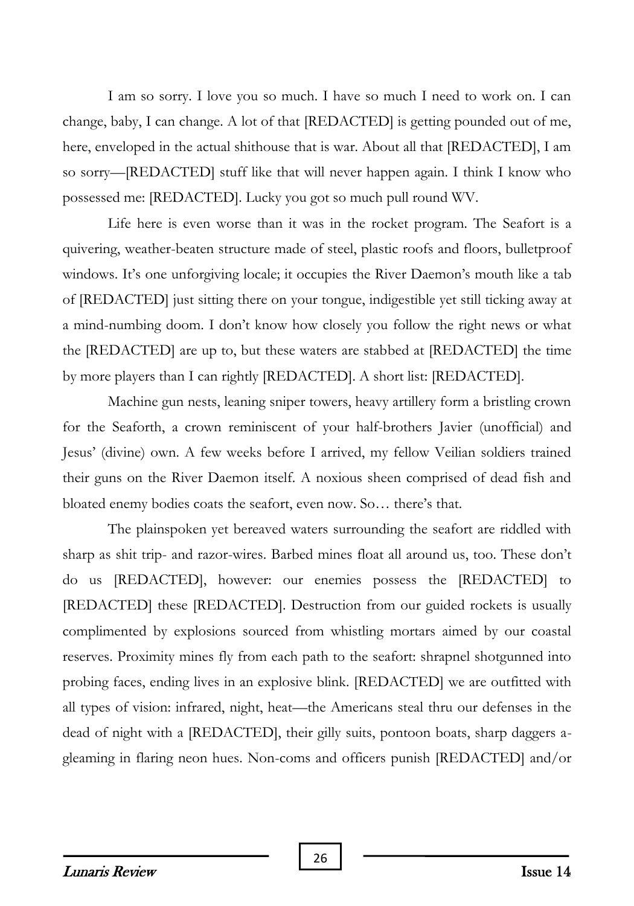I am so sorry. I love you so much. I have so much I need to work on. I can change, baby, I can change. A lot of that [REDACTED] is getting pounded out of me, here, enveloped in the actual shithouse that is war. About all that [REDACTED], I am so sorry—[REDACTED] stuff like that will never happen again. I think I know who possessed me: [REDACTED]. Lucky you got so much pull round WV.

Life here is even worse than it was in the rocket program. The Seafort is a quivering, weather-beaten structure made of steel, plastic roofs and floors, bulletproof windows. It's one unforgiving locale; it occupies the River Daemon's mouth like a tab of [REDACTED] just sitting there on your tongue, indigestible yet still ticking away at a mind-numbing doom. I don't know how closely you follow the right news or what the [REDACTED] are up to, but these waters are stabbed at [REDACTED] the time by more players than I can rightly [REDACTED]. A short list: [REDACTED].

Machine gun nests, leaning sniper towers, heavy artillery form a bristling crown for the Seaforth, a crown reminiscent of your half-brothers Javier (unofficial) and Jesus' (divine) own. A few weeks before I arrived, my fellow Veilian soldiers trained their guns on the River Daemon itself. A noxious sheen comprised of dead fish and bloated enemy bodies coats the seafort, even now. So… there's that.

The plainspoken yet bereaved waters surrounding the seafort are riddled with sharp as shit trip- and razor-wires. Barbed mines float all around us, too. These don't do us [REDACTED], however: our enemies possess the [REDACTED] to [REDACTED] these [REDACTED]. Destruction from our guided rockets is usually complimented by explosions sourced from whistling mortars aimed by our coastal reserves. Proximity mines fly from each path to the seafort: shrapnel shotgunned into probing faces, ending lives in an explosive blink. [REDACTED] we are outfitted with all types of vision: infrared, night, heat—the Americans steal thru our defenses in the dead of night with a [REDACTED], their gilly suits, pontoon boats, sharp daggers agleaming in flaring neon hues. Non-coms and officers punish [REDACTED] and/or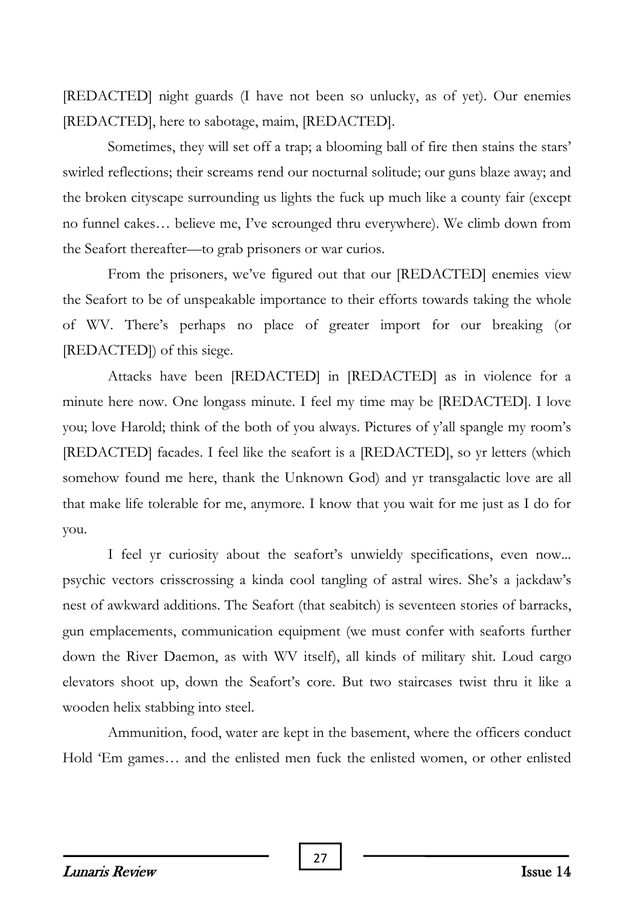[REDACTED] night guards (I have not been so unlucky, as of yet). Our enemies [REDACTED], here to sabotage, maim, [REDACTED].

Sometimes, they will set off a trap; a blooming ball of fire then stains the stars' swirled reflections; their screams rend our nocturnal solitude; our guns blaze away; and the broken cityscape surrounding us lights the fuck up much like a county fair (except no funnel cakes… believe me, I've scrounged thru everywhere). We climb down from the Seafort thereafter—to grab prisoners or war curios.

From the prisoners, we've figured out that our [REDACTED] enemies view the Seafort to be of unspeakable importance to their efforts towards taking the whole of WV. There's perhaps no place of greater import for our breaking (or [REDACTED]) of this siege.

Attacks have been [REDACTED] in [REDACTED] as in violence for a minute here now. One longass minute. I feel my time may be [REDACTED]. I love you; love Harold; think of the both of you always. Pictures of y'all spangle my room's [REDACTED] facades. I feel like the seafort is a [REDACTED], so yr letters (which somehow found me here, thank the Unknown God) and yr transgalactic love are all that make life tolerable for me, anymore. I know that you wait for me just as I do for you.

I feel yr curiosity about the seafort's unwieldy specifications, even now... psychic vectors crisscrossing a kinda cool tangling of astral wires. She's a jackdaw's nest of awkward additions. The Seafort (that seabitch) is seventeen stories of barracks, gun emplacements, communication equipment (we must confer with seaforts further down the River Daemon, as with WV itself), all kinds of military shit. Loud cargo elevators shoot up, down the Seafort's core. But two staircases twist thru it like a wooden helix stabbing into steel.

Ammunition, food, water are kept in the basement, where the officers conduct Hold 'Em games… and the enlisted men fuck the enlisted women, or other enlisted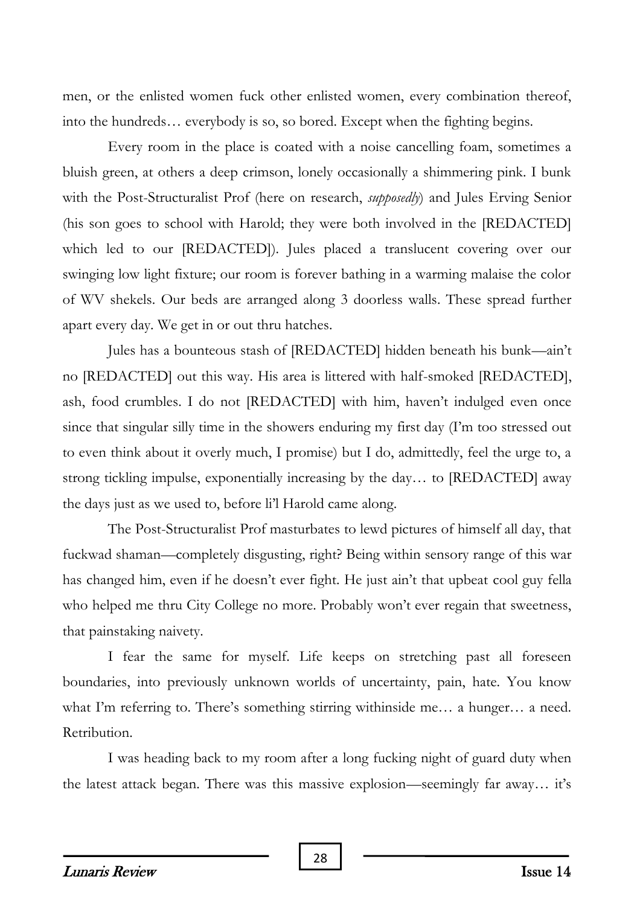men, or the enlisted women fuck other enlisted women, every combination thereof, into the hundreds… everybody is so, so bored. Except when the fighting begins.

Every room in the place is coated with a noise cancelling foam, sometimes a bluish green, at others a deep crimson, lonely occasionally a shimmering pink. I bunk with the Post-Structuralist Prof (here on research, *supposedly*) and Jules Erving Senior (his son goes to school with Harold; they were both involved in the [REDACTED] which led to our [REDACTED]). Jules placed a translucent covering over our swinging low light fixture; our room is forever bathing in a warming malaise the color of WV shekels. Our beds are arranged along 3 doorless walls. These spread further apart every day. We get in or out thru hatches.

Jules has a bounteous stash of [REDACTED] hidden beneath his bunk—ain't no [REDACTED] out this way. His area is littered with half-smoked [REDACTED], ash, food crumbles. I do not [REDACTED] with him, haven't indulged even once since that singular silly time in the showers enduring my first day (I'm too stressed out to even think about it overly much, I promise) but I do, admittedly, feel the urge to, a strong tickling impulse, exponentially increasing by the day… to [REDACTED] away the days just as we used to, before li'l Harold came along.

The Post-Structuralist Prof masturbates to lewd pictures of himself all day, that fuckwad shaman—completely disgusting, right? Being within sensory range of this war has changed him, even if he doesn't ever fight. He just ain't that upbeat cool guy fella who helped me thru City College no more. Probably won't ever regain that sweetness, that painstaking naivety.

I fear the same for myself. Life keeps on stretching past all foreseen boundaries, into previously unknown worlds of uncertainty, pain, hate. You know what I'm referring to. There's something stirring withinside me... a hunger... a need. Retribution.

I was heading back to my room after a long fucking night of guard duty when the latest attack began. There was this massive explosion—seemingly far away… it's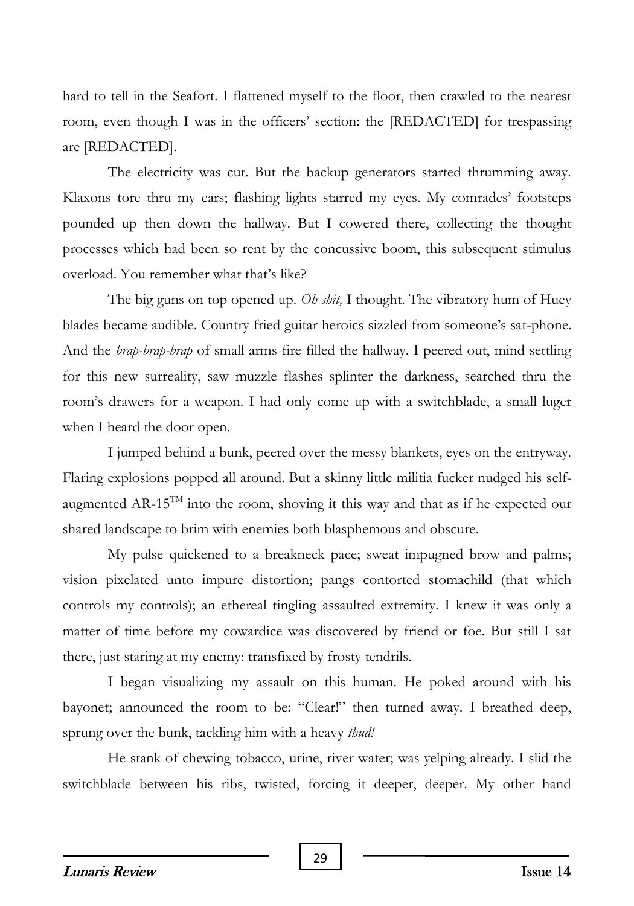hard to tell in the Seafort. I flattened myself to the floor, then crawled to the nearest room, even though I was in the officers' section: the [REDACTED] for trespassing are [REDACTED].

The electricity was cut. But the backup generators started thrumming away. Klaxons tore thru my ears; flashing lights starred my eyes. My comrades' footsteps pounded up then down the hallway. But I cowered there, collecting the thought processes which had been so rent by the concussive boom, this subsequent stimulus overload. You remember what that's like?

The big guns on top opened up. *Oh shit,* I thought. The vibratory hum of Huey blades became audible. Country fried guitar heroics sizzled from someone's sat-phone. And the *brap-brap-brap* of small arms fire filled the hallway. I peered out, mind settling for this new surreality, saw muzzle flashes splinter the darkness, searched thru the room's drawers for a weapon. I had only come up with a switchblade, a small luger when I heard the door open.

I jumped behind a bunk, peered over the messy blankets, eyes on the entryway. Flaring explosions popped all around. But a skinny little militia fucker nudged his selfaugmented AR-15<sup>TM</sup> into the room, shoving it this way and that as if he expected our shared landscape to brim with enemies both blasphemous and obscure.

My pulse quickened to a breakneck pace; sweat impugned brow and palms; vision pixelated unto impure distortion; pangs contorted stomachild (that which controls my controls); an ethereal tingling assaulted extremity. I knew it was only a matter of time before my cowardice was discovered by friend or foe. But still I sat there, just staring at my enemy: transfixed by frosty tendrils.

I began visualizing my assault on this human. He poked around with his bayonet; announced the room to be: "Clear!" then turned away. I breathed deep, sprung over the bunk, tackling him with a heavy *thud!* 

He stank of chewing tobacco, urine, river water; was yelping already. I slid the switchblade between his ribs, twisted, forcing it deeper, deeper. My other hand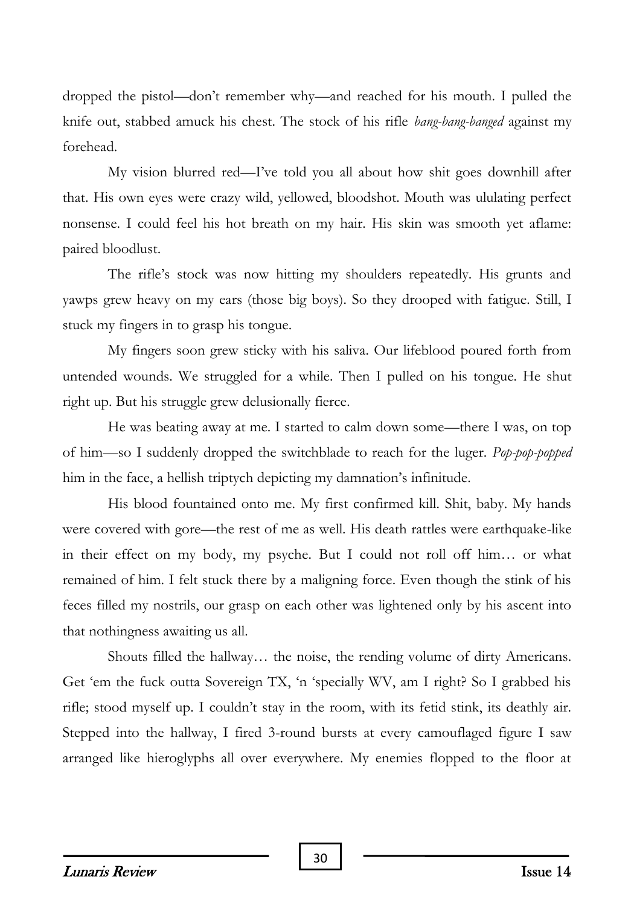dropped the pistol—don't remember why—and reached for his mouth. I pulled the knife out, stabbed amuck his chest. The stock of his rifle *bang-bang-banged* against my forehead.

My vision blurred red—I've told you all about how shit goes downhill after that. His own eyes were crazy wild, yellowed, bloodshot. Mouth was ululating perfect nonsense. I could feel his hot breath on my hair. His skin was smooth yet aflame: paired bloodlust.

The rifle's stock was now hitting my shoulders repeatedly. His grunts and yawps grew heavy on my ears (those big boys). So they drooped with fatigue. Still, I stuck my fingers in to grasp his tongue.

My fingers soon grew sticky with his saliva. Our lifeblood poured forth from untended wounds. We struggled for a while. Then I pulled on his tongue. He shut right up. But his struggle grew delusionally fierce.

He was beating away at me. I started to calm down some—there I was, on top of him—so I suddenly dropped the switchblade to reach for the luger. *Pop-pop-popped* him in the face, a hellish triptych depicting my damnation's infinitude.

His blood fountained onto me. My first confirmed kill. Shit, baby. My hands were covered with gore—the rest of me as well. His death rattles were earthquake-like in their effect on my body, my psyche. But I could not roll off him… or what remained of him. I felt stuck there by a maligning force. Even though the stink of his feces filled my nostrils, our grasp on each other was lightened only by his ascent into that nothingness awaiting us all.

Shouts filled the hallway… the noise, the rending volume of dirty Americans. Get 'em the fuck outta Sovereign TX, 'n 'specially WV, am I right? So I grabbed his rifle; stood myself up. I couldn't stay in the room, with its fetid stink, its deathly air. Stepped into the hallway, I fired 3-round bursts at every camouflaged figure I saw arranged like hieroglyphs all over everywhere. My enemies flopped to the floor at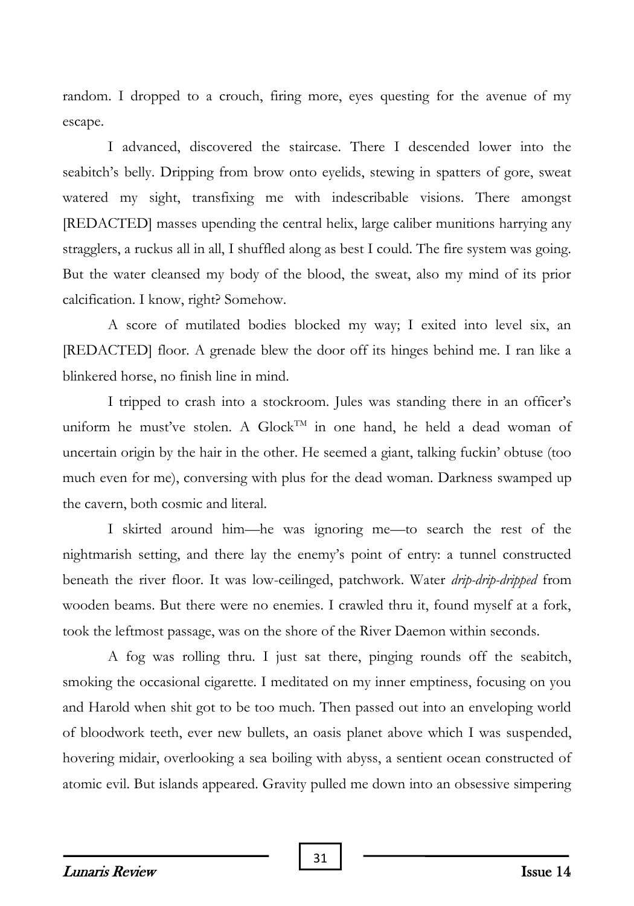random. I dropped to a crouch, firing more, eyes questing for the avenue of my escape.

I advanced, discovered the staircase. There I descended lower into the seabitch's belly. Dripping from brow onto eyelids, stewing in spatters of gore, sweat watered my sight, transfixing me with indescribable visions. There amongst [REDACTED] masses upending the central helix, large caliber munitions harrying any stragglers, a ruckus all in all, I shuffled along as best I could. The fire system was going. But the water cleansed my body of the blood, the sweat, also my mind of its prior calcification. I know, right? Somehow.

A score of mutilated bodies blocked my way; I exited into level six, an [REDACTED] floor. A grenade blew the door off its hinges behind me. I ran like a blinkered horse, no finish line in mind.

I tripped to crash into a stockroom. Jules was standing there in an officer's uniform he must've stolen. A Glock<sup>TM</sup> in one hand, he held a dead woman of uncertain origin by the hair in the other. He seemed a giant, talking fuckin' obtuse (too much even for me), conversing with plus for the dead woman. Darkness swamped up the cavern, both cosmic and literal.

I skirted around him—he was ignoring me—to search the rest of the nightmarish setting, and there lay the enemy's point of entry: a tunnel constructed beneath the river floor. It was low-ceilinged, patchwork. Water *drip-drip-dripped* from wooden beams. But there were no enemies. I crawled thru it, found myself at a fork, took the leftmost passage, was on the shore of the River Daemon within seconds.

A fog was rolling thru. I just sat there, pinging rounds off the seabitch, smoking the occasional cigarette. I meditated on my inner emptiness, focusing on you and Harold when shit got to be too much. Then passed out into an enveloping world of bloodwork teeth, ever new bullets, an oasis planet above which I was suspended, hovering midair, overlooking a sea boiling with abyss, a sentient ocean constructed of atomic evil. But islands appeared. Gravity pulled me down into an obsessive simpering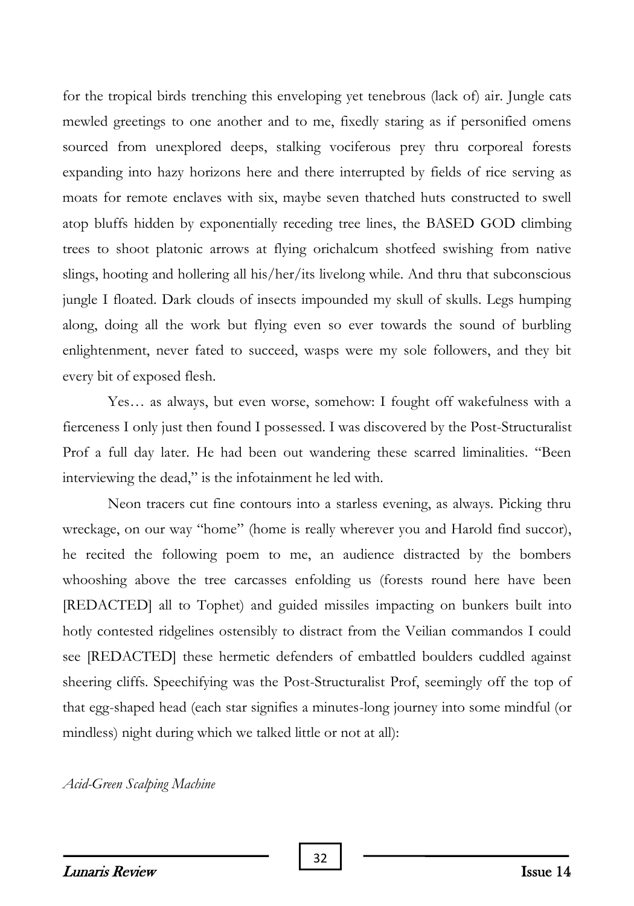for the tropical birds trenching this enveloping yet tenebrous (lack of) air. Jungle cats mewled greetings to one another and to me, fixedly staring as if personified omens sourced from unexplored deeps, stalking vociferous prey thru corporeal forests expanding into hazy horizons here and there interrupted by fields of rice serving as moats for remote enclaves with six, maybe seven thatched huts constructed to swell atop bluffs hidden by exponentially receding tree lines, the BASED GOD climbing trees to shoot platonic arrows at flying orichalcum shotfeed swishing from native slings, hooting and hollering all his/her/its livelong while. And thru that subconscious jungle I floated. Dark clouds of insects impounded my skull of skulls. Legs humping along, doing all the work but flying even so ever towards the sound of burbling enlightenment, never fated to succeed, wasps were my sole followers, and they bit every bit of exposed flesh.

Yes… as always, but even worse, somehow: I fought off wakefulness with a fierceness I only just then found I possessed. I was discovered by the Post-Structuralist Prof a full day later. He had been out wandering these scarred liminalities. "Been interviewing the dead," is the infotainment he led with.

Neon tracers cut fine contours into a starless evening, as always. Picking thru wreckage, on our way "home" (home is really wherever you and Harold find succor), he recited the following poem to me, an audience distracted by the bombers whooshing above the tree carcasses enfolding us (forests round here have been [REDACTED] all to Tophet) and guided missiles impacting on bunkers built into hotly contested ridgelines ostensibly to distract from the Veilian commandos I could see [REDACTED] these hermetic defenders of embattled boulders cuddled against sheering cliffs. Speechifying was the Post-Structuralist Prof, seemingly off the top of that egg-shaped head (each star signifies a minutes-long journey into some mindful (or mindless) night during which we talked little or not at all):

*Acid-Green Scalping Machine*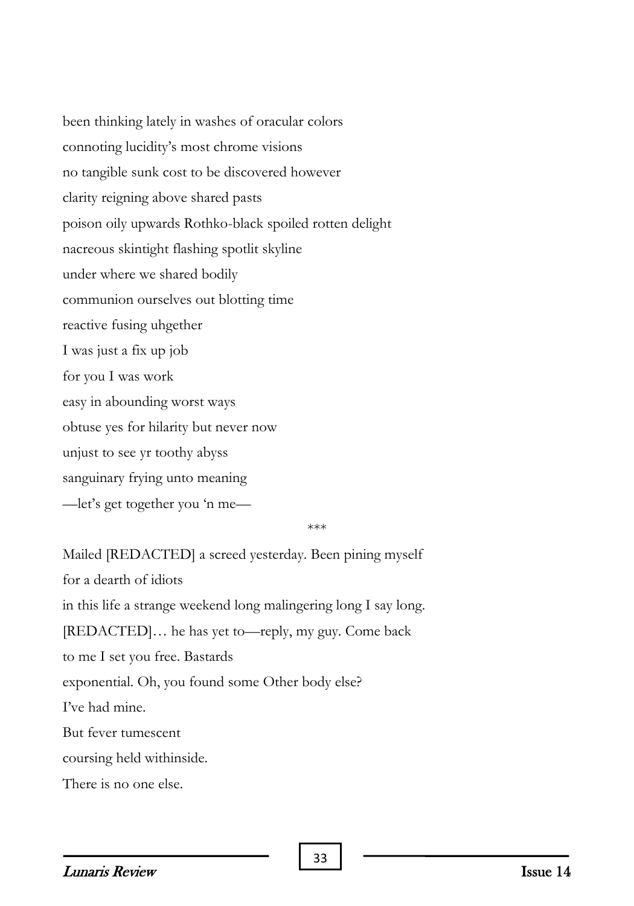been thinking lately in washes of oracular colors connoting lucidity's most chrome visions no tangible sunk cost to be discovered however clarity reigning above shared pasts poison oily upwards Rothko-black spoiled rotten delight nacreous skintight flashing spotlit skyline under where we shared bodily communion ourselves out blotting time reactive fusing uhgether I was just a fix up job for you I was work easy in abounding worst ways obtuse yes for hilarity but never now unjust to see yr toothy abyss sanguinary frying unto meaning —let's get together you 'n me—

\*\*\*

Mailed [REDACTED] a screed yesterday. Been pining myself for a dearth of idiots in this life a strange weekend long malingering long I say long. [REDACTED]… he has yet to—reply, my guy. Come back to me I set you free. Bastards exponential. Oh, you found some Other body else? I've had mine. But fever tumescent coursing held withinside. There is no one else.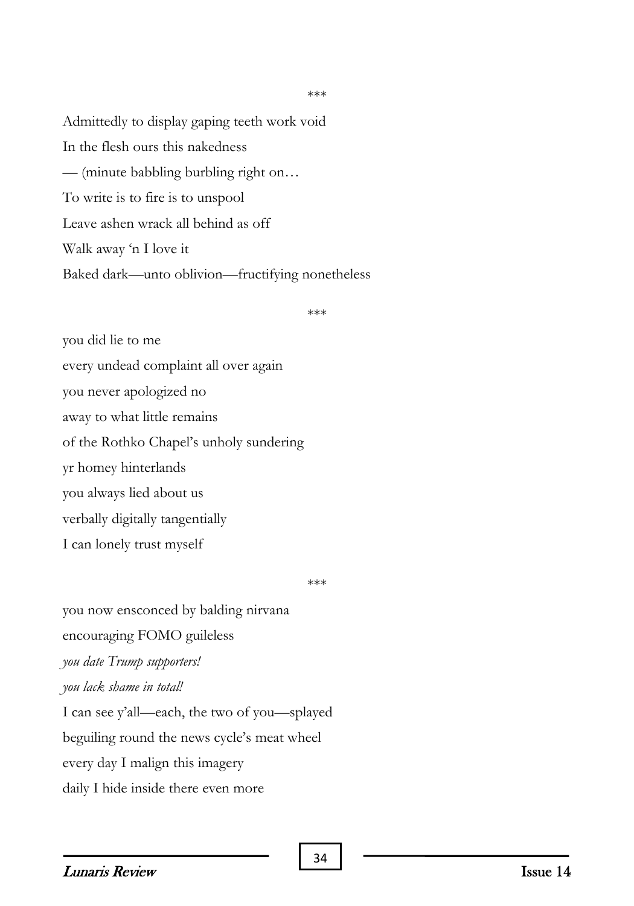Admittedly to display gaping teeth work void In the flesh ours this nakedness — (minute babbling burbling right on… To write is to fire is to unspool Leave ashen wrack all behind as off Walk away 'n I love it Baked dark—unto oblivion—fructifying nonetheless

\*\*\*

you did lie to me every undead complaint all over again you never apologized no away to what little remains of the Rothko Chapel's unholy sundering yr homey hinterlands you always lied about us verbally digitally tangentially I can lonely trust myself

\*\*\*

you now ensconced by balding nirvana encouraging FOMO guileless *you date Trump supporters! you lack shame in total!* I can see y'all—each, the two of you—splayed beguiling round the news cycle's meat wheel every day I malign this imagery daily I hide inside there even more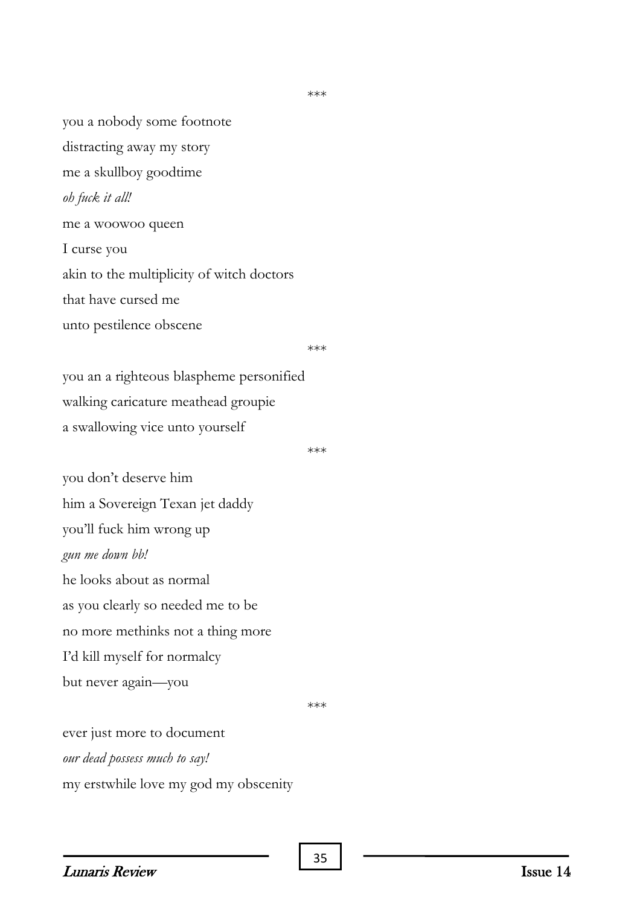you a nobody some footnote distracting away my story me a skullboy goodtime *oh fuck it all!* me a woowoo queen I curse you akin to the multiplicity of witch doctors that have cursed me unto pestilence obscene

\*\*\*

you an a righteous blaspheme personified walking caricature meathead groupie a swallowing vice unto yourself

\*\*\*

you don't deserve him him a Sovereign Texan jet daddy you'll fuck him wrong up *gun me down bb!* he looks about as normal as you clearly so needed me to be no more methinks not a thing more I'd kill myself for normalcy but never again—you

\*\*\*

ever just more to document *our dead possess much to say!* my erstwhile love my god my obscenity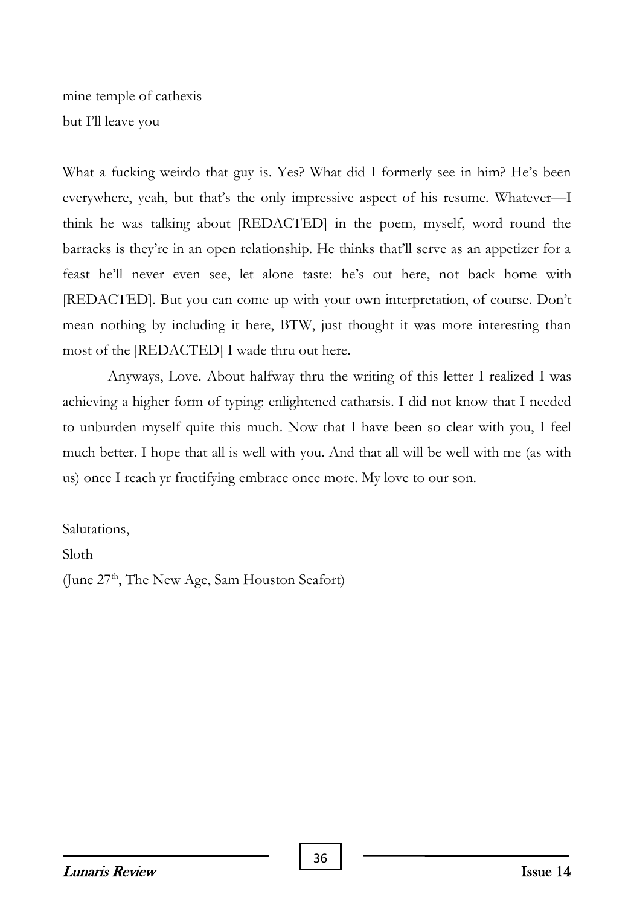mine temple of cathexis but I'll leave you

What a fucking weirdo that guy is. Yes? What did I formerly see in him? He's been everywhere, yeah, but that's the only impressive aspect of his resume. Whatever—I think he was talking about [REDACTED] in the poem, myself, word round the barracks is they're in an open relationship. He thinks that'll serve as an appetizer for a feast he'll never even see, let alone taste: he's out here, not back home with [REDACTED]. But you can come up with your own interpretation, of course. Don't mean nothing by including it here, BTW, just thought it was more interesting than most of the [REDACTED] I wade thru out here.

Anyways, Love. About halfway thru the writing of this letter I realized I was achieving a higher form of typing: enlightened catharsis. I did not know that I needed to unburden myself quite this much. Now that I have been so clear with you, I feel much better. I hope that all is well with you. And that all will be well with me (as with us) once I reach yr fructifying embrace once more. My love to our son.

Salutations,

Sloth

(June  $27<sup>th</sup>$ , The New Age, Sam Houston Seafort)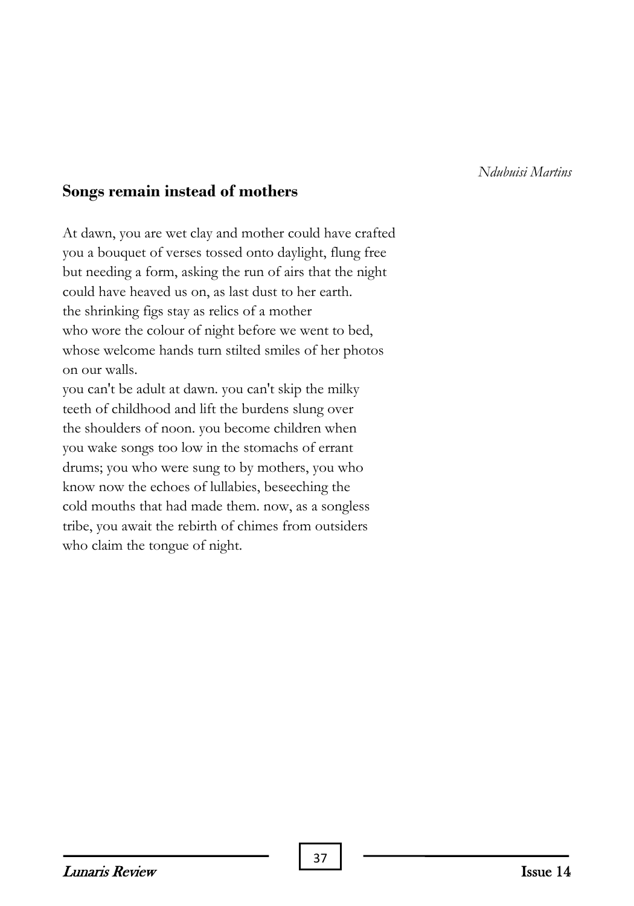*Ndubuisi Martins* 

# **Songs remain instead of mothers**

At dawn, you are wet clay and mother could have crafted you a bouquet of verses tossed onto daylight, flung free but needing a form, asking the run of airs that the night could have heaved us on, as last dust to her earth. the shrinking figs stay as relics of a mother who wore the colour of night before we went to bed, whose welcome hands turn stilted smiles of her photos on our walls.

you can't be adult at dawn. you can't skip the milky teeth of childhood and lift the burdens slung over the shoulders of noon. you become children when you wake songs too low in the stomachs of errant drums; you who were sung to by mothers, you who know now the echoes of lullabies, beseeching the cold mouths that had made them. now, as a songless tribe, you await the rebirth of chimes from outsiders who claim the tongue of night.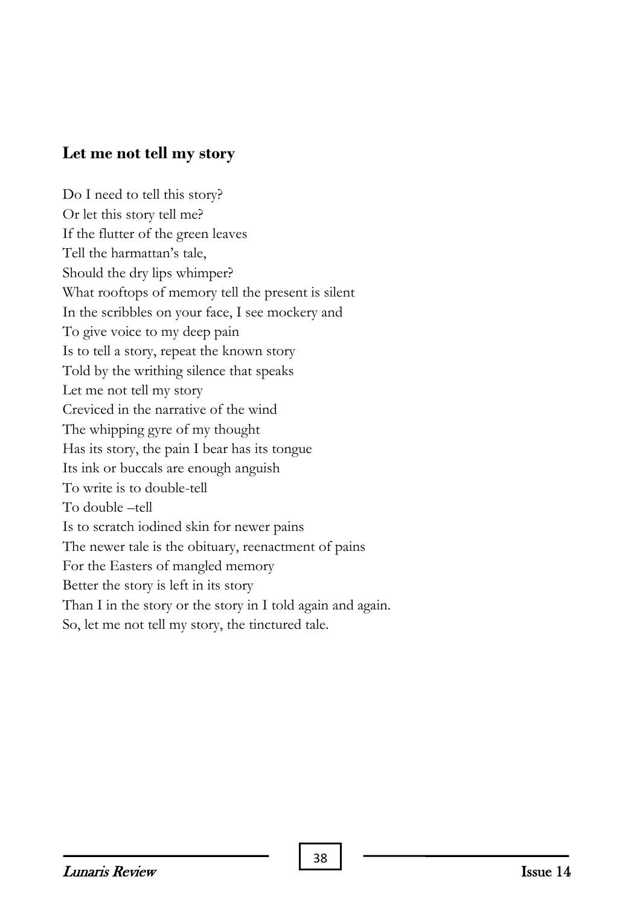# **Let me not tell my story**

Do I need to tell this story? Or let this story tell me? If the flutter of the green leaves Tell the harmattan's tale, Should the dry lips whimper? What rooftops of memory tell the present is silent In the scribbles on your face, I see mockery and To give voice to my deep pain Is to tell a story, repeat the known story Told by the writhing silence that speaks Let me not tell my story Creviced in the narrative of the wind The whipping gyre of my thought Has its story, the pain I bear has its tongue Its ink or buccals are enough anguish To write is to double-tell To double –tell Is to scratch iodined skin for newer pains The newer tale is the obituary, reenactment of pains For the Easters of mangled memory Better the story is left in its story Than I in the story or the story in I told again and again. So, let me not tell my story, the tinctured tale.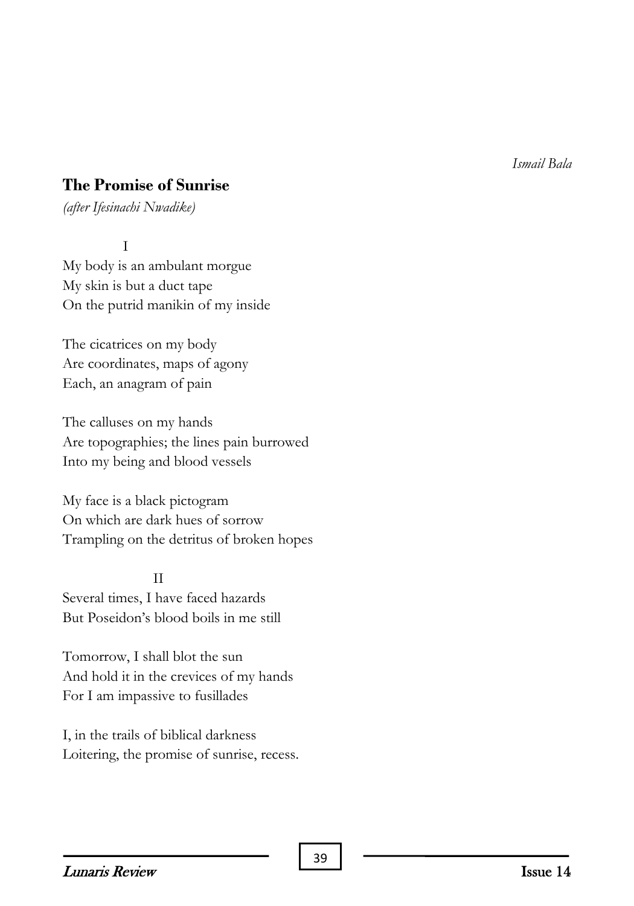*Ismail Bala*

# **The Promise of Sunrise**

*(after Ifesinachi Nwadike)*

I

My body is an ambulant morgue My skin is but a duct tape On the putrid manikin of my inside

The cicatrices on my body Are coordinates, maps of agony Each, an anagram of pain

The calluses on my hands Are topographies; the lines pain burrowed Into my being and blood vessels

My face is a black pictogram On which are dark hues of sorrow Trampling on the detritus of broken hopes

## II

Several times, I have faced hazards But Poseidon's blood boils in me still

Tomorrow, I shall blot the sun And hold it in the crevices of my hands For I am impassive to fusillades

I, in the trails of biblical darkness Loitering, the promise of sunrise, recess.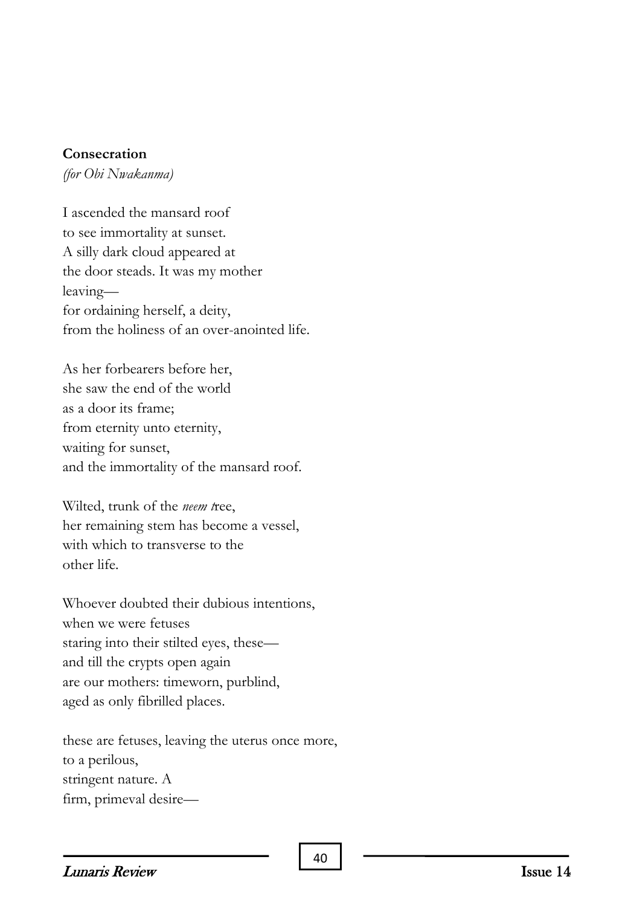#### **Consecration**

*(for Obi Nwakanma)*

I ascended the mansard roof to see immortality at sunset. A silly dark cloud appeared at the door steads. It was my mother leaving for ordaining herself, a deity, from the holiness of an over-anointed life.

As her forbearers before her, she saw the end of the world as a door its frame; from eternity unto eternity, waiting for sunset, and the immortality of the mansard roof.

Wilted, trunk of the *neem t*ree, her remaining stem has become a vessel, with which to transverse to the other life.

Whoever doubted their dubious intentions, when we were fetuses staring into their stilted eyes, these and till the crypts open again are our mothers: timeworn, purblind, aged as only fibrilled places.

these are fetuses, leaving the uterus once more, to a perilous, stringent nature. A firm, primeval desire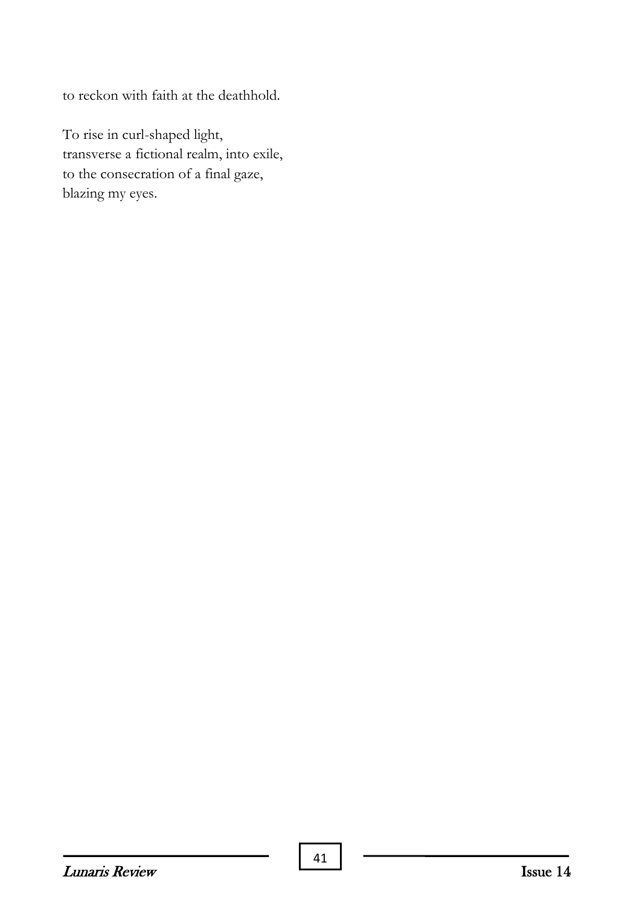to reckon with faith at the deathhold.

To rise in curl-shaped light, transverse a fictional realm, into exile, to the consecration of a final gaze, blazing my eyes.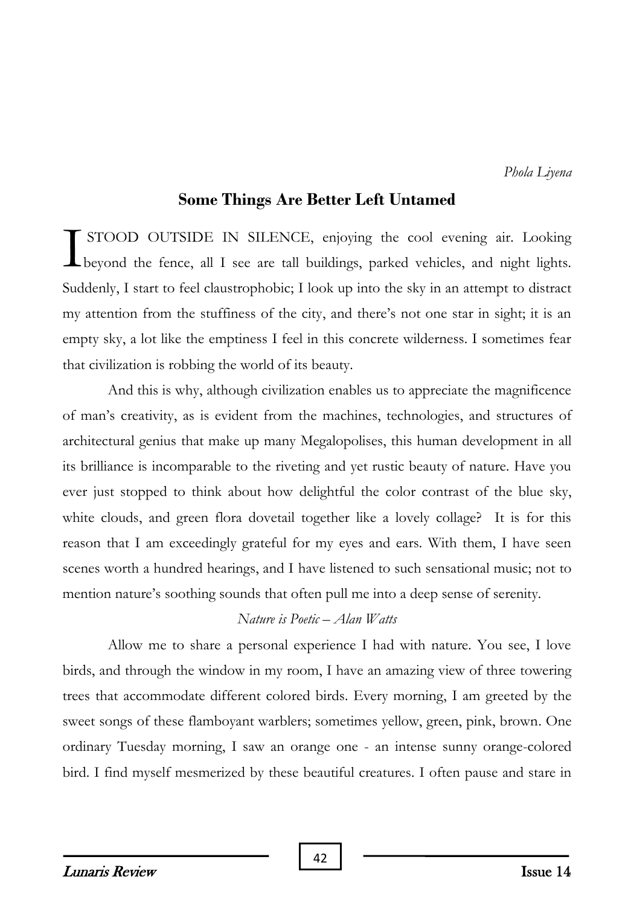# **Some Things Are Better Left Untamed**

STOOD OUTSIDE IN SILENCE, enjoying the cool evening air. Looking I STOOD OUTSIDE IN SILENCE, enjoying the cool evening air. Looking beyond the fence, all I see are tall buildings, parked vehicles, and night lights. Suddenly, I start to feel claustrophobic; I look up into the sky in an attempt to distract my attention from the stuffiness of the city, and there's not one star in sight; it is an empty sky, a lot like the emptiness I feel in this concrete wilderness. I sometimes fear that civilization is robbing the world of its beauty.

And this is why, although civilization enables us to appreciate the magnificence of man's creativity, as is evident from the machines, technologies, and structures of architectural genius that make up many Megalopolises, this human development in all its brilliance is incomparable to the riveting and yet rustic beauty of nature. Have you ever just stopped to think about how delightful the color contrast of the blue sky, white clouds, and green flora dovetail together like a lovely collage? It is for this reason that I am exceedingly grateful for my eyes and ears. With them, I have seen scenes worth a hundred hearings, and I have listened to such sensational music; not to mention nature's soothing sounds that often pull me into a deep sense of serenity.

#### *Nature is Poetic – Alan Watts*

Allow me to share a personal experience I had with nature. You see, I love birds, and through the window in my room, I have an amazing view of three towering trees that accommodate different colored birds. Every morning, I am greeted by the sweet songs of these flamboyant warblers; sometimes yellow, green, pink, brown. One ordinary Tuesday morning, I saw an orange one - an intense sunny orange-colored bird. I find myself mesmerized by these beautiful creatures. I often pause and stare in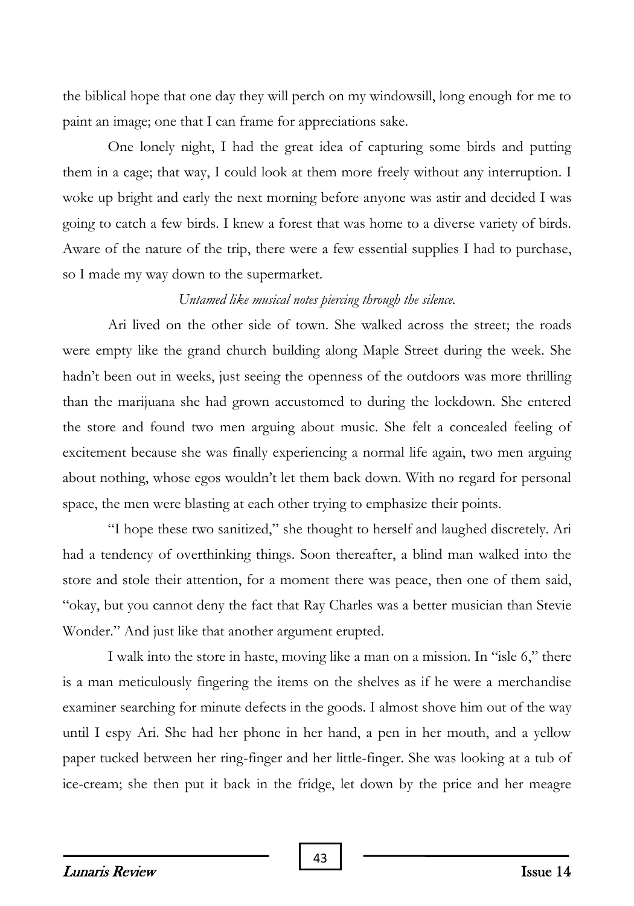the biblical hope that one day they will perch on my windowsill, long enough for me to paint an image; one that I can frame for appreciations sake.

One lonely night, I had the great idea of capturing some birds and putting them in a cage; that way, I could look at them more freely without any interruption. I woke up bright and early the next morning before anyone was astir and decided I was going to catch a few birds. I knew a forest that was home to a diverse variety of birds. Aware of the nature of the trip, there were a few essential supplies I had to purchase, so I made my way down to the supermarket.

#### *Untamed like musical notes piercing through the silence.*

Ari lived on the other side of town. She walked across the street; the roads were empty like the grand church building along Maple Street during the week. She hadn't been out in weeks, just seeing the openness of the outdoors was more thrilling than the marijuana she had grown accustomed to during the lockdown. She entered the store and found two men arguing about music. She felt a concealed feeling of excitement because she was finally experiencing a normal life again, two men arguing about nothing, whose egos wouldn't let them back down. With no regard for personal space, the men were blasting at each other trying to emphasize their points.

"I hope these two sanitized," she thought to herself and laughed discretely. Ari had a tendency of overthinking things. Soon thereafter, a blind man walked into the store and stole their attention, for a moment there was peace, then one of them said, "okay, but you cannot deny the fact that Ray Charles was a better musician than Stevie Wonder." And just like that another argument erupted.

I walk into the store in haste, moving like a man on a mission. In "isle 6," there is a man meticulously fingering the items on the shelves as if he were a merchandise examiner searching for minute defects in the goods. I almost shove him out of the way until I espy Ari. She had her phone in her hand, a pen in her mouth, and a yellow paper tucked between her ring-finger and her little-finger. She was looking at a tub of ice-cream; she then put it back in the fridge, let down by the price and her meagre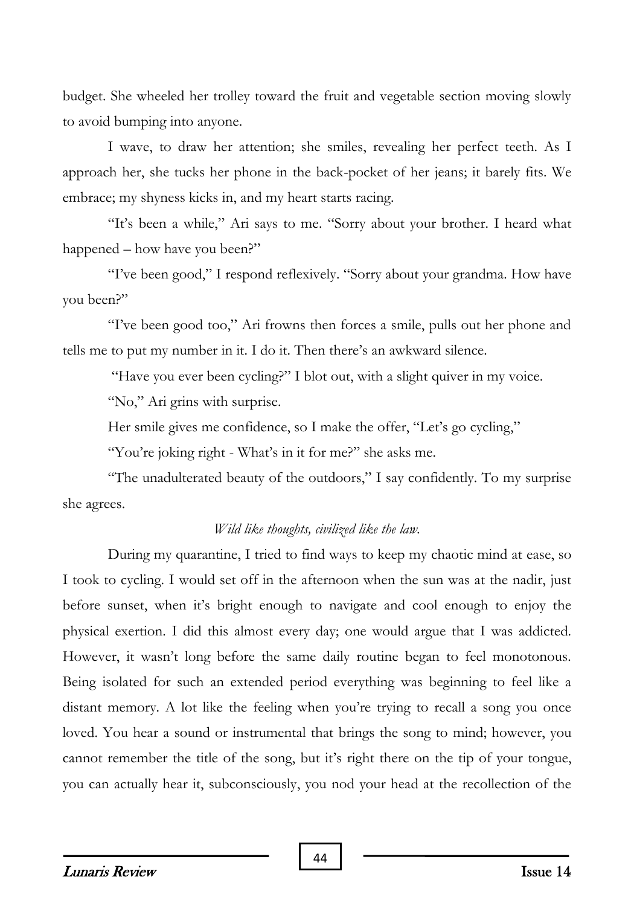budget. She wheeled her trolley toward the fruit and vegetable section moving slowly to avoid bumping into anyone.

I wave, to draw her attention; she smiles, revealing her perfect teeth. As I approach her, she tucks her phone in the back-pocket of her jeans; it barely fits. We embrace; my shyness kicks in, and my heart starts racing.

"It's been a while," Ari says to me. "Sorry about your brother. I heard what happened – how have you been?"

"I've been good," I respond reflexively. "Sorry about your grandma. How have you been?"

"I've been good too," Ari frowns then forces a smile, pulls out her phone and tells me to put my number in it. I do it. Then there's an awkward silence.

"Have you ever been cycling?" I blot out, with a slight quiver in my voice.

"No," Ari grins with surprise.

Her smile gives me confidence, so I make the offer, "Let's go cycling,"

"You're joking right - What's in it for me?" she asks me.

"The unadulterated beauty of the outdoors," I say confidently. To my surprise she agrees.

#### *Wild like thoughts, civilized like the law.*

During my quarantine, I tried to find ways to keep my chaotic mind at ease, so I took to cycling. I would set off in the afternoon when the sun was at the nadir, just before sunset, when it's bright enough to navigate and cool enough to enjoy the physical exertion. I did this almost every day; one would argue that I was addicted. However, it wasn't long before the same daily routine began to feel monotonous. Being isolated for such an extended period everything was beginning to feel like a distant memory. A lot like the feeling when you're trying to recall a song you once loved. You hear a sound or instrumental that brings the song to mind; however, you cannot remember the title of the song, but it's right there on the tip of your tongue, you can actually hear it, subconsciously, you nod your head at the recollection of the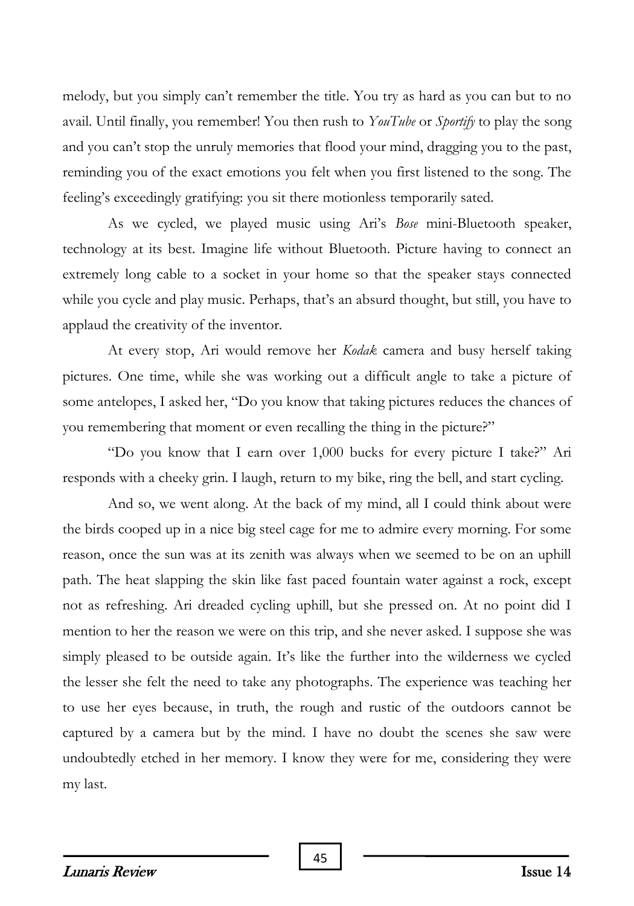melody, but you simply can't remember the title. You try as hard as you can but to no avail. Until finally, you remember! You then rush to *YouTube* or *Sportify* to play the song and you can't stop the unruly memories that flood your mind, dragging you to the past, reminding you of the exact emotions you felt when you first listened to the song. The feeling's exceedingly gratifying: you sit there motionless temporarily sated.

As we cycled, we played music using Ari's *Bose* mini-Bluetooth speaker, technology at its best. Imagine life without Bluetooth. Picture having to connect an extremely long cable to a socket in your home so that the speaker stays connected while you cycle and play music. Perhaps, that's an absurd thought, but still, you have to applaud the creativity of the inventor.

At every stop, Ari would remove her *Kodak* camera and busy herself taking pictures. One time, while she was working out a difficult angle to take a picture of some antelopes, I asked her, "Do you know that taking pictures reduces the chances of you remembering that moment or even recalling the thing in the picture?"

"Do you know that I earn over 1,000 bucks for every picture I take?" Ari responds with a cheeky grin. I laugh, return to my bike, ring the bell, and start cycling.

And so, we went along. At the back of my mind, all I could think about were the birds cooped up in a nice big steel cage for me to admire every morning. For some reason, once the sun was at its zenith was always when we seemed to be on an uphill path. The heat slapping the skin like fast paced fountain water against a rock, except not as refreshing. Ari dreaded cycling uphill, but she pressed on. At no point did I mention to her the reason we were on this trip, and she never asked. I suppose she was simply pleased to be outside again. It's like the further into the wilderness we cycled the lesser she felt the need to take any photographs. The experience was teaching her to use her eyes because, in truth, the rough and rustic of the outdoors cannot be captured by a camera but by the mind. I have no doubt the scenes she saw were undoubtedly etched in her memory. I know they were for me, considering they were my last.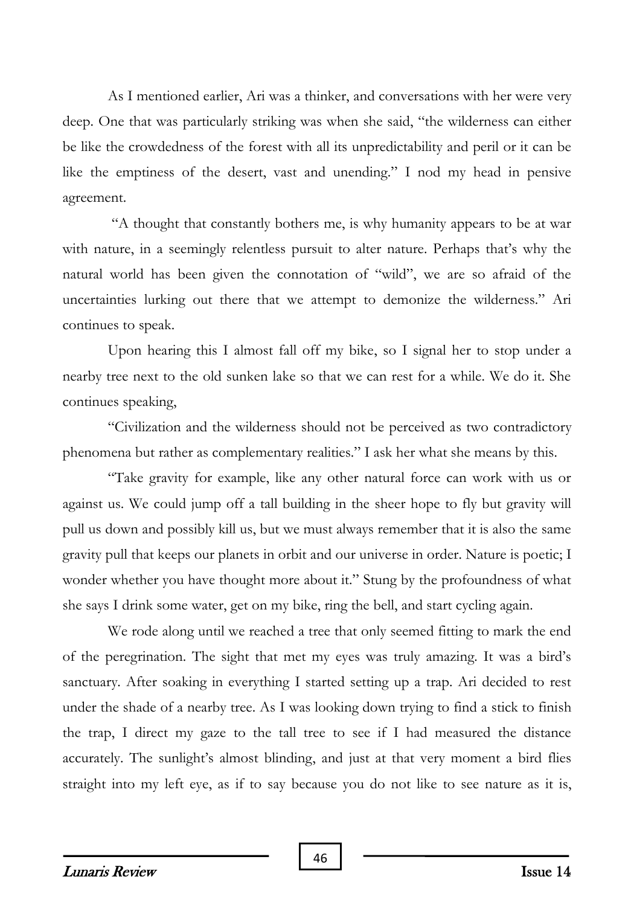As I mentioned earlier, Ari was a thinker, and conversations with her were very deep. One that was particularly striking was when she said, "the wilderness can either be like the crowdedness of the forest with all its unpredictability and peril or it can be like the emptiness of the desert, vast and unending." I nod my head in pensive agreement.

"A thought that constantly bothers me, is why humanity appears to be at war with nature, in a seemingly relentless pursuit to alter nature. Perhaps that's why the natural world has been given the connotation of "wild", we are so afraid of the uncertainties lurking out there that we attempt to demonize the wilderness." Ari continues to speak.

Upon hearing this I almost fall off my bike, so I signal her to stop under a nearby tree next to the old sunken lake so that we can rest for a while. We do it. She continues speaking,

"Civilization and the wilderness should not be perceived as two contradictory phenomena but rather as complementary realities." I ask her what she means by this.

"Take gravity for example, like any other natural force can work with us or against us. We could jump off a tall building in the sheer hope to fly but gravity will pull us down and possibly kill us, but we must always remember that it is also the same gravity pull that keeps our planets in orbit and our universe in order. Nature is poetic; I wonder whether you have thought more about it." Stung by the profoundness of what she says I drink some water, get on my bike, ring the bell, and start cycling again.

We rode along until we reached a tree that only seemed fitting to mark the end of the peregrination. The sight that met my eyes was truly amazing. It was a bird's sanctuary. After soaking in everything I started setting up a trap. Ari decided to rest under the shade of a nearby tree. As I was looking down trying to find a stick to finish the trap, I direct my gaze to the tall tree to see if I had measured the distance accurately. The sunlight's almost blinding, and just at that very moment a bird flies straight into my left eye, as if to say because you do not like to see nature as it is,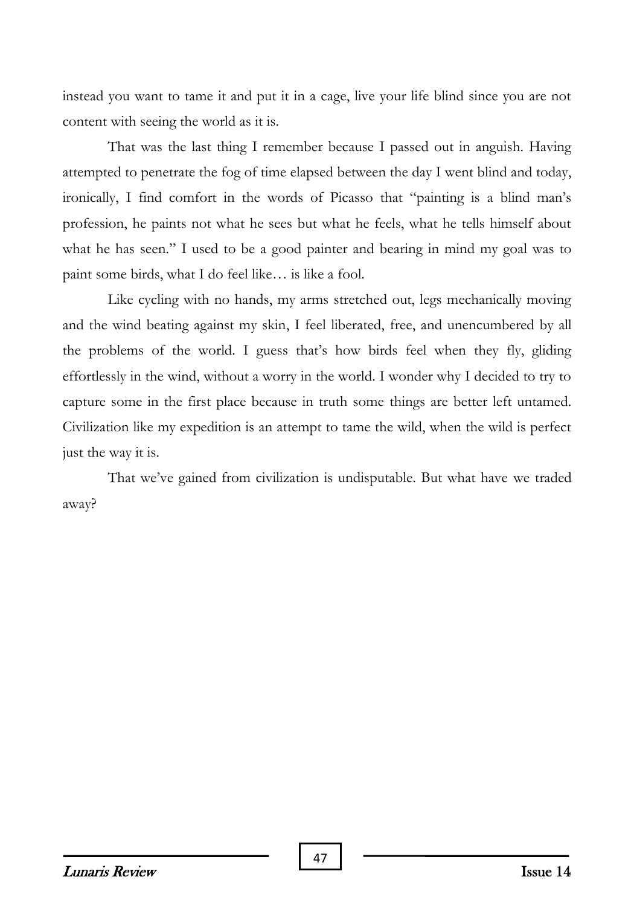instead you want to tame it and put it in a cage, live your life blind since you are not content with seeing the world as it is.

That was the last thing I remember because I passed out in anguish. Having attempted to penetrate the fog of time elapsed between the day I went blind and today, ironically, I find comfort in the words of Picasso that "painting is a blind man's profession, he paints not what he sees but what he feels, what he tells himself about what he has seen." I used to be a good painter and bearing in mind my goal was to paint some birds, what I do feel like… is like a fool.

Like cycling with no hands, my arms stretched out, legs mechanically moving and the wind beating against my skin, I feel liberated, free, and unencumbered by all the problems of the world. I guess that's how birds feel when they fly, gliding effortlessly in the wind, without a worry in the world. I wonder why I decided to try to capture some in the first place because in truth some things are better left untamed. Civilization like my expedition is an attempt to tame the wild, when the wild is perfect just the way it is.

That we've gained from civilization is undisputable. But what have we traded away?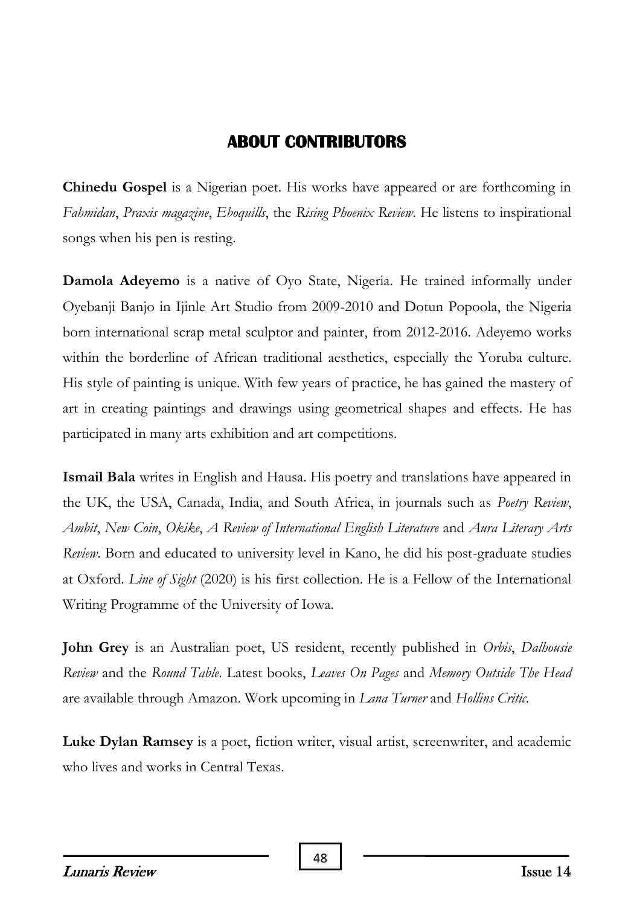# **ABOUT CONTRIBUTORS**

**Chinedu Gospel** is a Nigerian poet. His works have appeared or are forthcoming in *Fahmidan*, *Praxis magazine*, *Eboquills*, the *Rising Phoenix Review*. He listens to inspirational songs when his pen is resting.

**Damola Adeyemo** is a native of Oyo State, Nigeria. He trained informally under Oyebanji Banjo in Ijinle Art Studio from 2009-2010 and Dotun Popoola, the Nigeria born international scrap metal sculptor and painter, from 2012-2016. Adeyemo works within the borderline of African traditional aesthetics, especially the Yoruba culture. His style of painting is unique. With few years of practice, he has gained the mastery of art in creating paintings and drawings using geometrical shapes and effects. He has participated in many arts exhibition and art competitions.

**Ismail Bala** writes in English and Hausa. His poetry and translations have appeared in the UK, the USA, Canada, India, and South Africa, in journals such as *Poetry Review*, *Ambit*, *New Coin*, *Okike*, *A Review of International English Literature* and *Aura Literary Arts Review*. Born and educated to university level in Kano, he did his post-graduate studies at Oxford. *Line of Sight* (2020) is his first collection. He is a Fellow of the International Writing Programme of the University of Iowa.

**John Grey** is an Australian poet, US resident, recently published in *Orbis*, *Dalhousie Review* and the *Round Table*. Latest books, *Leaves On Pages* and *Memory Outside The Head* are available through Amazon. Work upcoming in *Lana Turner* and *Hollins Critic*.

**Luke Dylan Ramsey** is a poet, fiction writer, visual artist, screenwriter, and academic who lives and works in Central Texas.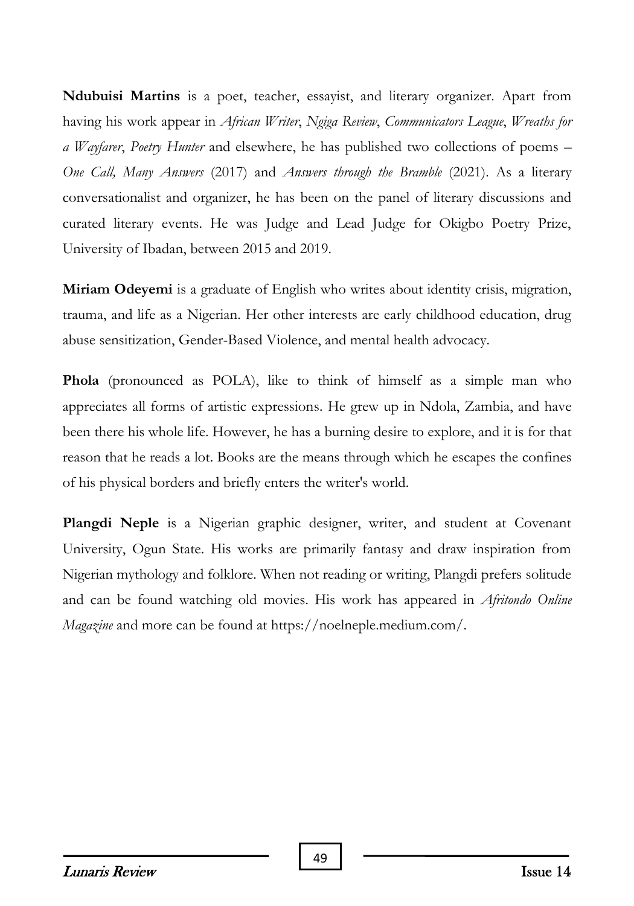**Ndubuisi Martins** is a poet, teacher, essayist, and literary organizer. Apart from having his work appear in *African Writer*, *Ngiga Review*, *Communicators League*, *Wreaths for a Wayfarer*, *Poetry Hunter* and elsewhere, he has published two collections of poems – *One Call, Many Answers* (2017) and *Answers through the Bramble* (2021). As a literary conversationalist and organizer, he has been on the panel of literary discussions and curated literary events. He was Judge and Lead Judge for Okigbo Poetry Prize, University of Ibadan, between 2015 and 2019.

**Miriam Odeyemi** is a graduate of English who writes about identity crisis, migration, trauma, and life as a Nigerian. Her other interests are early childhood education, drug abuse sensitization, Gender-Based Violence, and mental health advocacy.

**Phola** (pronounced as POLA), like to think of himself as a simple man who appreciates all forms of artistic expressions. He grew up in Ndola, Zambia, and have been there his whole life. However, he has a burning desire to explore, and it is for that reason that he reads a lot. Books are the means through which he escapes the confines of his physical borders and briefly enters the writer's world.

**Plangdi Neple** is a Nigerian graphic designer, writer, and student at Covenant University, Ogun State. His works are primarily fantasy and draw inspiration from Nigerian mythology and folklore. When not reading or writing, Plangdi prefers solitude and can be found watching old movies. His work has appeared in *Afritondo Online Magazine* and more can be found at https://noelneple.medium.com/.